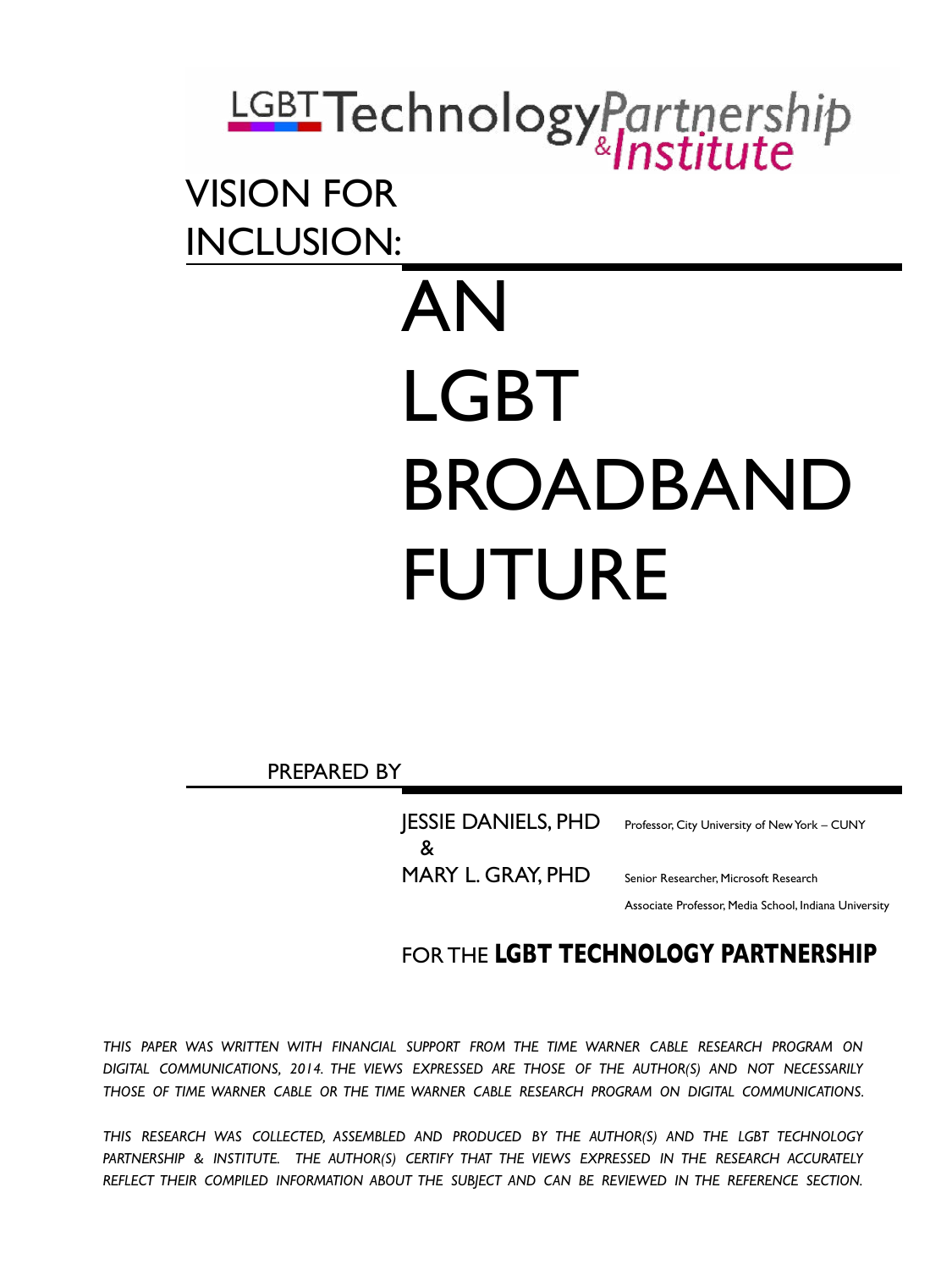## LGBT Technology Partnership VISION FOR INCLUSION: AN

# LGBT BROADBAND FUTURE

PREPARED BY

JESSIE DANIELS, PHD Professor, City University of New York – CUNY & MARY L. GRAY, PHD Senior Researcher, Microsoft Research

Associate Professor, Media School, Indiana University

## FOR THE **LGBT TECHNOLOGY PARTNERSHIP**

*THIS PAPER WAS WRITTEN WITH FINANCIAL SUPPORT FROM THE TIME WARNER CABLE RESEARCH PROGRAM ON DIGITAL COMMUNICATIONS, 2014. THE VIEWS EXPRESSED ARE THOSE OF THE AUTHOR(S) AND NOT NECESSARILY THOSE OF TIME WARNER CABLE OR THE TIME WARNER CABLE RESEARCH PROGRAM ON DIGITAL COMMUNICATIONS.*

*THIS RESEARCH WAS COLLECTED, ASSEMBLED AND PRODUCED BY THE AUTHOR(S) AND THE LGBT TECHNOLOGY PARTNERSHIP & INSTITUTE. THE AUTHOR(S) CERTIFY THAT THE VIEWS EXPRESSED IN THE RESEARCH ACCURATELY REFLECT THEIR COMPILED INFORMATION ABOUT THE SUBJECT AND CAN BE REVIEWED IN THE REFERENCE SECTION.*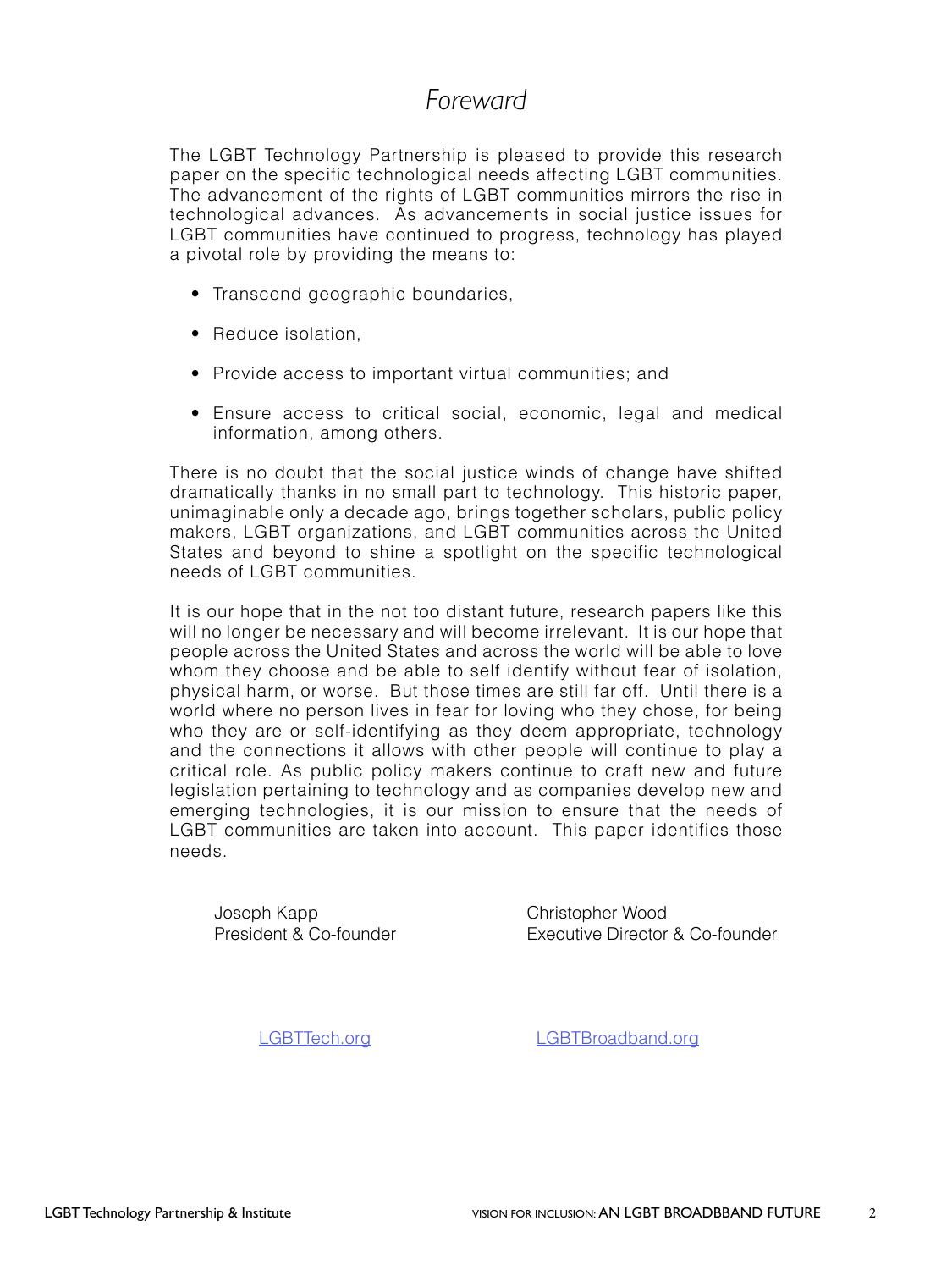## *Foreward*

The LGBT Technology Partnership is pleased to provide this research paper on the specific technological needs affecting LGBT communities. The advancement of the rights of LGBT communities mirrors the rise in technological advances. As advancements in social justice issues for LGBT communities have continued to progress, technology has played a pivotal role by providing the means to:

- Transcend geographic boundaries,
- Reduce isolation,
- Provide access to important virtual communities; and
- Ensure access to critical social, economic, legal and medical information, among others.

There is no doubt that the social justice winds of change have shifted dramatically thanks in no small part to technology. This historic paper, unimaginable only a decade ago, brings together scholars, public policy makers, LGBT organizations, and LGBT communities across the United States and beyond to shine a spotlight on the specific technological needs of LGBT communities.

It is our hope that in the not too distant future, research papers like this will no longer be necessary and will become irrelevant. It is our hope that people across the United States and across the world will be able to love whom they choose and be able to self identify without fear of isolation, physical harm, or worse. But those times are still far off. Until there is a world where no person lives in fear for loving who they chose, for being who they are or self-identifying as they deem appropriate, technology and the connections it allows with other people will continue to play a critical role. As public policy makers continue to craft new and future legislation pertaining to technology and as companies develop new and emerging technologies, it is our mission to ensure that the needs of LGBT communities are taken into account. This paper identifies those needs.

Joseph Kapp Christopher Wood

President & Co-founder Executive Director & Co-founder

[LGBTTech.org](http://LGBTTech.org) [LGBTBroadband.org](http://LGBTBroadband.org)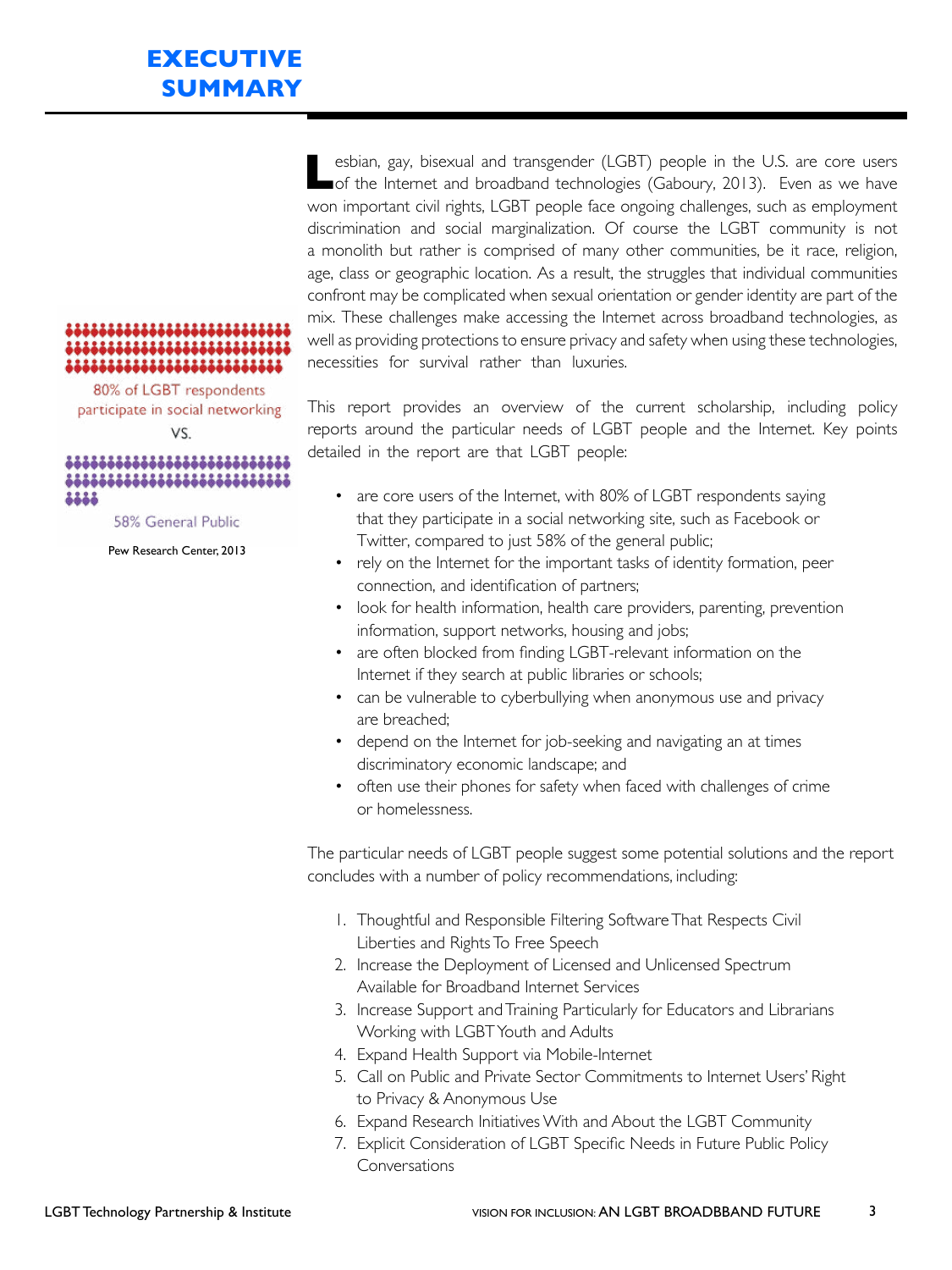

80% of LGBT respondents participate in social networking VS.

#### \*\*\*\*\*\*\*\*\*\*\*\*\*\*\*\*\*\*\*\*\*\*\*\*\*\* 888888888888888888888888 iiii

58% General Public

Pew Research Center, 2013

**LACCE EXECUTE ENDER 18 and transgender (LGBT) people in the U.S. are core users of the Internet and broadband technologies (Gaboury, 2013). Even as we have** won important civil rights, LGBT people face ongoing challenges, such as employment discrimination and social marginalization. Of course the LGBT community is not a monolith but rather is comprised of many other communities, be it race, religion, age, class or geographic location. As a result, the struggles that individual communities confront may be complicated when sexual orientation or gender identity are part of the mix. These challenges make accessing the Internet across broadband technologies, as well as providing protections to ensure privacy and safety when using these technologies, necessities for survival rather than luxuries.

This report provides an overview of the current scholarship, including policy reports around the particular needs of LGBT people and the Internet. Key points detailed in the report are that LGBT people:

- are core users of the Internet, with 80% of LGBT respondents saying that they participate in a social networking site, such as Facebook or Twitter, compared to just 58% of the general public;
- rely on the Internet for the important tasks of identity formation, peer connection, and identification of partners;
- look for health information, health care providers, parenting, prevention information, support networks, housing and jobs;
- are often blocked from finding LGBT-relevant information on the Internet if they search at public libraries or schools;
- can be vulnerable to cyberbullying when anonymous use and privacy are breached;
- depend on the Internet for job-seeking and navigating an at times discriminatory economic landscape; and
- often use their phones for safety when faced with challenges of crime or homelessness.

The particular needs of LGBT people suggest some potential solutions and the report concludes with a number of policy recommendations, including:

- 1. Thoughtful and Responsible Filtering Software That Respects Civil Liberties and Rights To Free Speech
- 2. Increase the Deployment of Licensed and Unlicensed Spectrum Available for Broadband Internet Services
- 3. Increase Support and Training Particularly for Educators and Librarians Working with LGBT Youth and Adults
- 4. Expand Health Support via Mobile-Internet
- 5. Call on Public and Private Sector Commitments to Internet Users' Right to Privacy & Anonymous Use
- 6. Expand Research Initiatives With and About the LGBT Community
- 7. Explicit Consideration of LGBT Specific Needs in Future Public Policy Conversations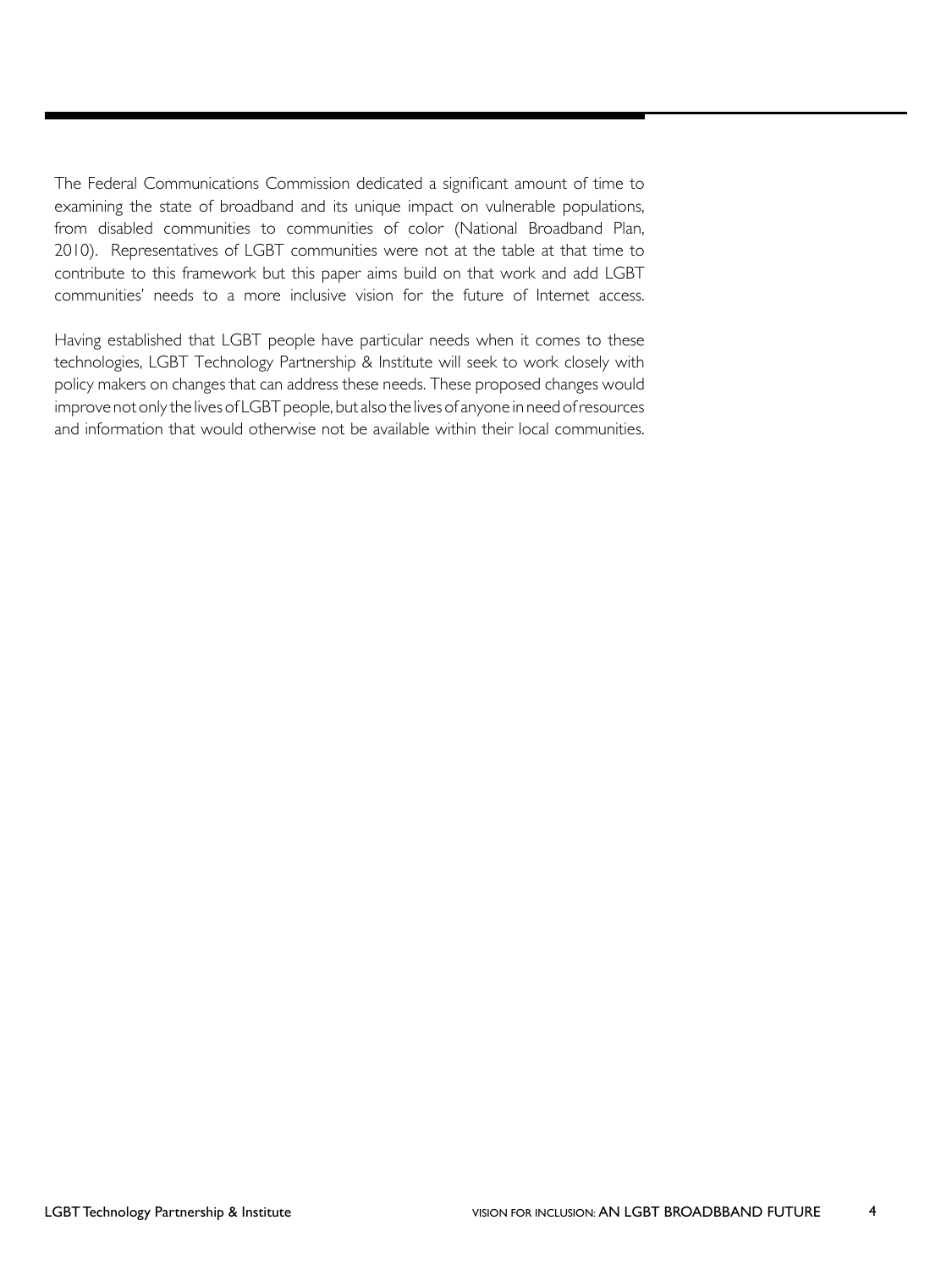The Federal Communications Commission dedicated a significant amount of time to examining the state of broadband and its unique impact on vulnerable populations, from disabled communities to communities of color (National Broadband Plan, 2010). Representatives of LGBT communities were not at the table at that time to contribute to this framework but this paper aims build on that work and add LGBT communities' needs to a more inclusive vision for the future of Internet access.

Having established that LGBT people have particular needs when it comes to these technologies, LGBT Technology Partnership & Institute will seek to work closely with policy makers on changes that can address these needs. These proposed changes would improve not only the lives of LGBT people, but also the lives of anyone in need of resources and information that would otherwise not be available within their local communities.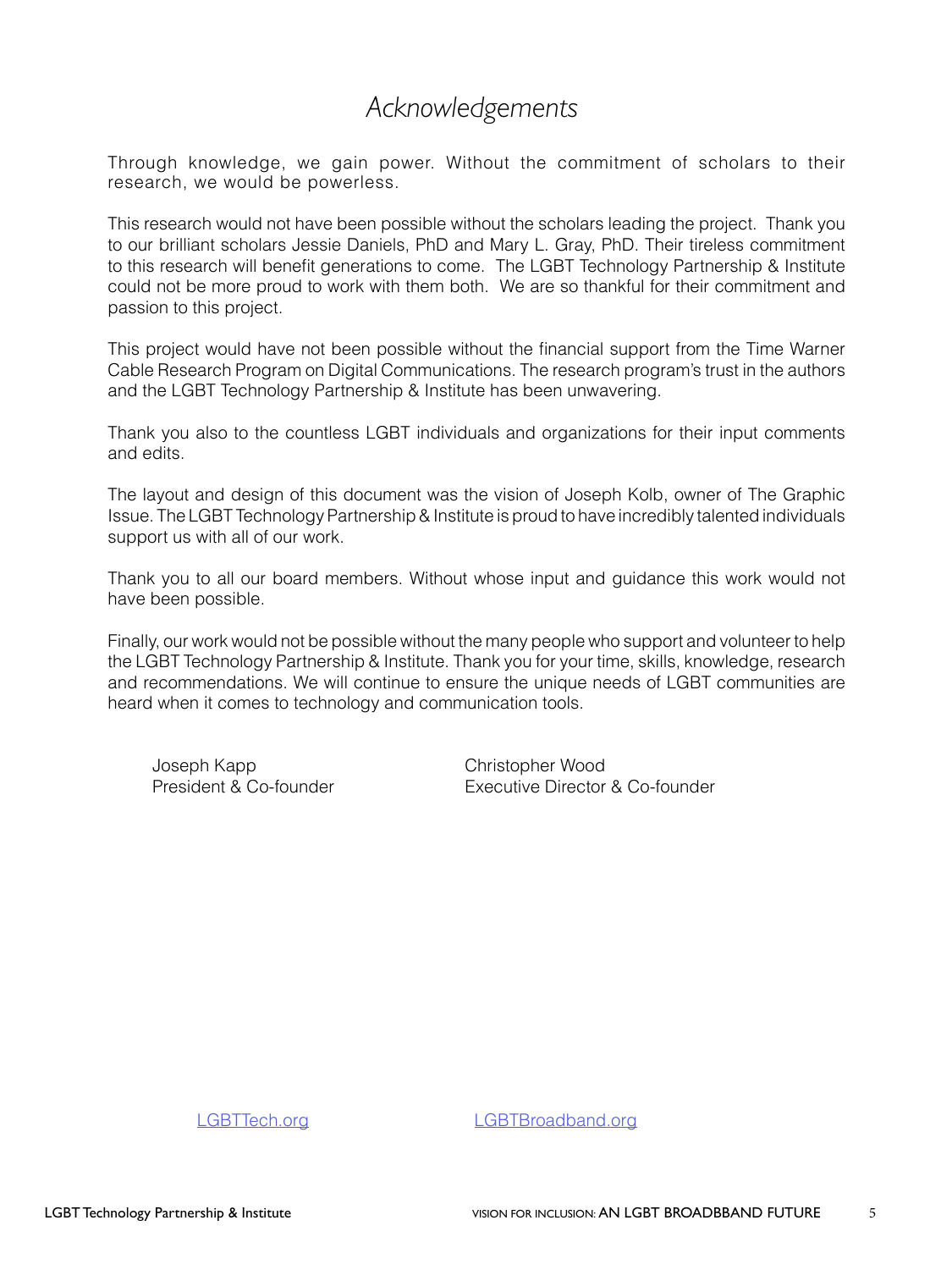## *Acknowledgements*

Through knowledge, we gain power. Without the commitment of scholars to their research, we would be powerless.

This research would not have been possible without the scholars leading the project. Thank you to our brilliant scholars Jessie Daniels, PhD and Mary L. Gray, PhD. Their tireless commitment to this research will benefit generations to come. The LGBT Technology Partnership & Institute could not be more proud to work with them both. We are so thankful for their commitment and passion to this project.

This project would have not been possible without the financial support from the Time Warner Cable Research Program on Digital Communications. The research program's trust in the authors and the LGBT Technology Partnership & Institute has been unwavering.

Thank you also to the countless LGBT individuals and organizations for their input comments and edits.

The layout and design of this document was the vision of Joseph Kolb, owner of The Graphic Issue. The LGBT Technology Partnership & Institute is proud to have incredibly talented individuals support us with all of our work.

Thank you to all our board members. Without whose input and guidance this work would not have been possible.

Finally, our work would not be possible without the many people who support and volunteer to help the LGBT Technology Partnership & Institute. Thank you for your time, skills, knowledge, research and recommendations. We will continue to ensure the unique needs of LGBT communities are heard when it comes to technology and communication tools.

Joseph Kapp Christopher Wood

President & Co-founder Executive Director & Co-founder

[LGBTTech.org](http://LGBTTech.org) [LGBTBroadband.org](http://LGBTBroadband.org)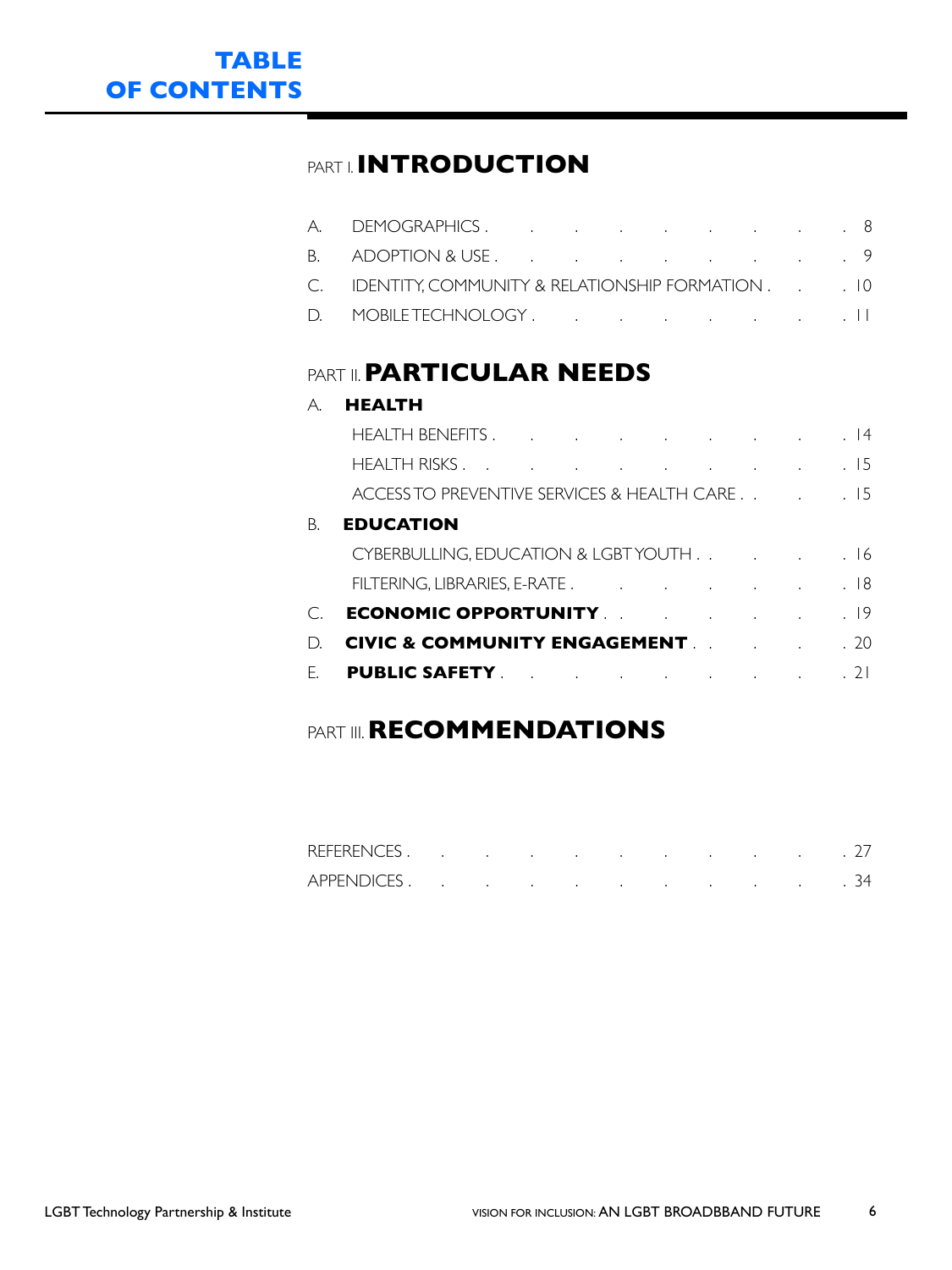## PART I. **INTRODUCTION**

| A.        | DEMOGRAPHICS.                                                                                                   | . 8                 |
|-----------|-----------------------------------------------------------------------------------------------------------------|---------------------|
| B.        | ADOPTION & USE . A contract the contract of the contract of the contract of the contract of the contract of the | .9                  |
| C.        | IDENTITY, COMMUNITY & RELATIONSHIP FORMATION                                                                    | .10                 |
| D.        | MOBILETECHNOLOGY. A contract of the state of the state of the state of the state of the state of the state of   | $\vert \cdot \vert$ |
|           | PART IL <b>PARTICULAR NEEDS</b>                                                                                 |                     |
| A.        | <b>HEALTH</b>                                                                                                   |                     |
|           |                                                                                                                 | .14                 |
|           |                                                                                                                 | .15                 |
|           | ACCESS TO PREVENTIVE SERVICES & HEALTH CARE                                                                     | .15                 |
| B.        | <b>EDUCATION</b>                                                                                                |                     |
|           |                                                                                                                 | .16                 |
|           | FILTERING, LIBRARIES, E-RATE . Particular and a series of the series of the series of the series of the series  | .18                 |
| $\subset$ | <b>ECONOMIC OPPORTUNITY And SECONOMIC OPPORTUNITY</b>                                                           | .19                 |
| $\Box$    | <b>CIVIC &amp; COMMUNITY ENGAGEMENT FOR A COMMUNITY ENGAGEMENT FOR A COMMUNITY</b>                              | .20                 |
| F.        | <b>PUBLIC SAFETY CONTRACT CONTRACT A PUBLIC SAFETY</b>                                                          | 21                  |

## PART III. **RECOMMENDATIONS**

| REFERENCES. |  |  |  |  |  |
|-------------|--|--|--|--|--|
|             |  |  |  |  |  |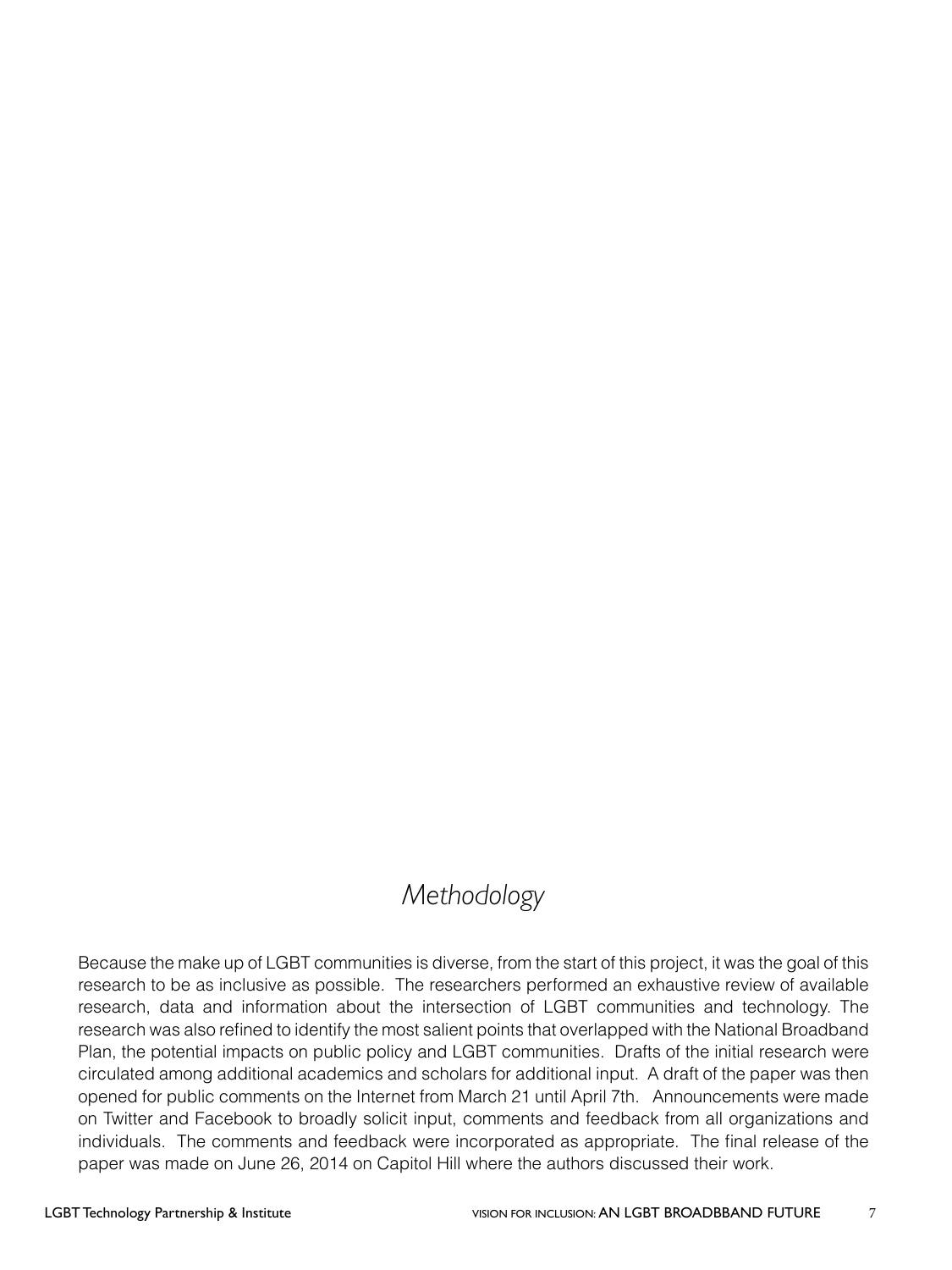## *Methodology*

Because the make up of LGBT communities is diverse, from the start of this project, it was the goal of this research to be as inclusive as possible. The researchers performed an exhaustive review of available research, data and information about the intersection of LGBT communities and technology. The research was also refined to identify the most salient points that overlapped with the National Broadband Plan, the potential impacts on public policy and LGBT communities. Drafts of the initial research were circulated among additional academics and scholars for additional input. A draft of the paper was then opened for public comments on the Internet from March 21 until April 7th. Announcements were made on Twitter and Facebook to broadly solicit input, comments and feedback from all organizations and individuals. The comments and feedback were incorporated as appropriate. The final release of the paper was made on June 26, 2014 on Capitol Hill where the authors discussed their work.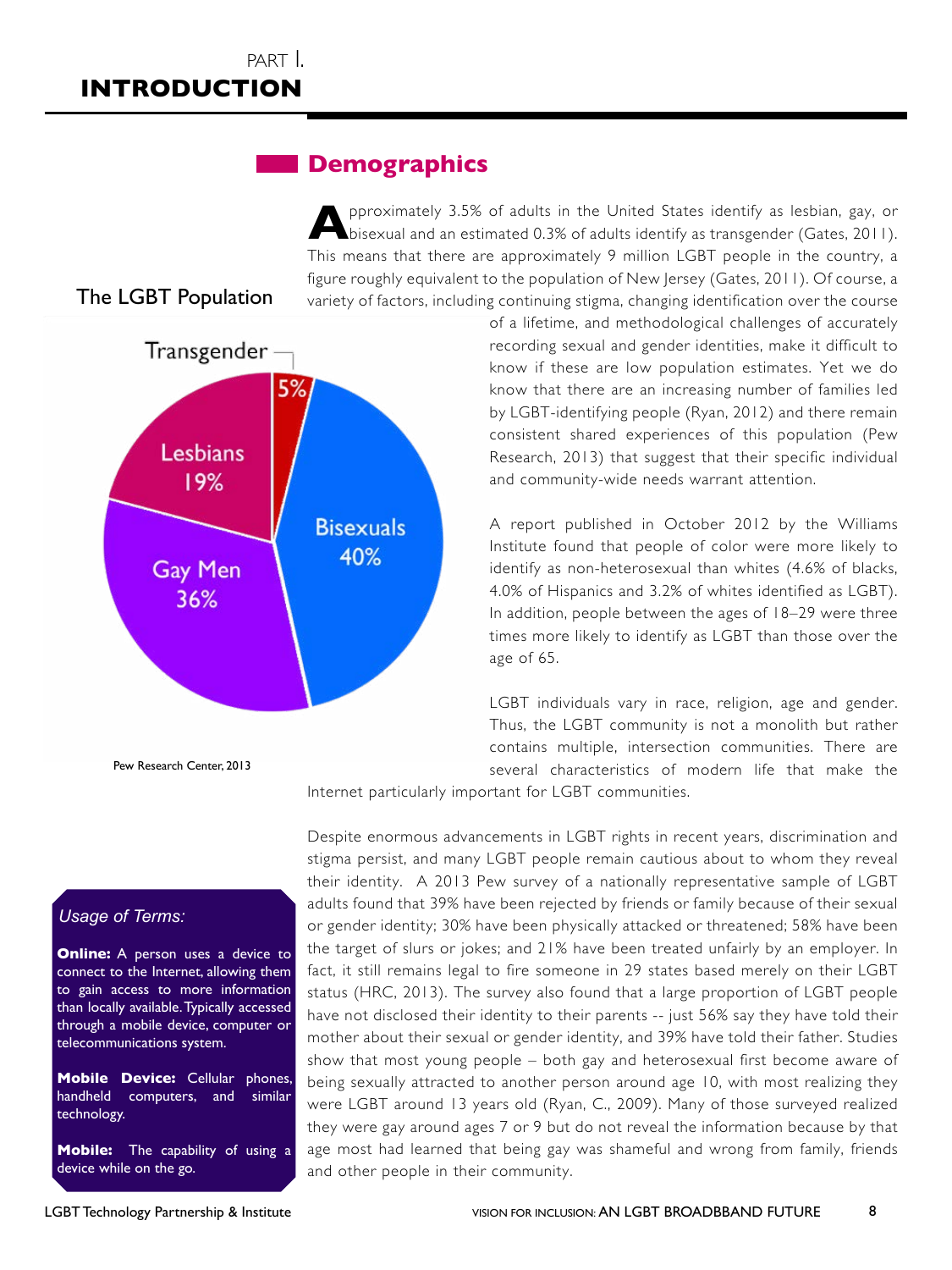## **Demographics**

**A** pproximately 3.5% of adults in the United States identify as lesbian, gay, or bisexual and an estimated 0.3% of adults identify as transgender (Gates, 2011). This means that there are approximately 9 million LGBT people in the country, a figure roughly equivalent to the population of New Jersey (Gates, 2011). Of course, a variety of factors, including continuing stigma, changing identification over the course

## The LGBT Population



of a lifetime, and methodological challenges of accurately recording sexual and gender identities, make it difficult to know if these are low population estimates. Yet we do know that there are an increasing number of families led by LGBT-identifying people (Ryan, 2012) and there remain consistent shared experiences of this population (Pew Research, 2013) that suggest that their specific individual and community-wide needs warrant attention.

A report published in October 2012 by the Williams Institute found that people of color were more likely to identify as non-heterosexual than whites (4.6% of blacks, 4.0% of Hispanics and 3.2% of whites identified as LGBT). In addition, people between the ages of 18–29 were three times more likely to identify as LGBT than those over the age of 65.

LGBT individuals vary in race, religion, age and gender. Thus, the LGBT community is not a monolith but rather contains multiple, intersection communities. There are several characteristics of modern life that make the

Internet particularly important for LGBT communities.

Despite enormous advancements in LGBT rights in recent years, discrimination and stigma persist, and many LGBT people remain cautious about to whom they reveal their identity. A 2013 Pew survey of a nationally representative sample of LGBT adults found that 39% have been rejected by friends or family because of their sexual or gender identity; 30% have been physically attacked or threatened; 58% have been the target of slurs or jokes; and 21% have been treated unfairly by an employer. In fact, it still remains legal to fire someone in 29 states based merely on their LGBT status (HRC, 2013). The survey also found that a large proportion of LGBT people have not disclosed their identity to their parents -- just 56% say they have told their mother about their sexual or gender identity, and 39% have told their father. Studies show that most young people – both gay and heterosexual first become aware of being sexually attracted to another person around age 10, with most realizing they were LGBT around 13 years old (Ryan, C., 2009). Many of those surveyed realized they were gay around ages 7 or 9 but do not reveal the information because by that age most had learned that being gay was shameful and wrong from family, friends and other people in their community.

### *Usage of Terms:*

**Online:** A person uses a device to connect to the Internet, allowing them to gain access to more information than locally available. Typically accessed through a mobile device, computer or telecommunications system.

**Mobile Device:** Cellular phones, handheld computers, and similar technology.

**Mobile:** The capability of using a device while on the go.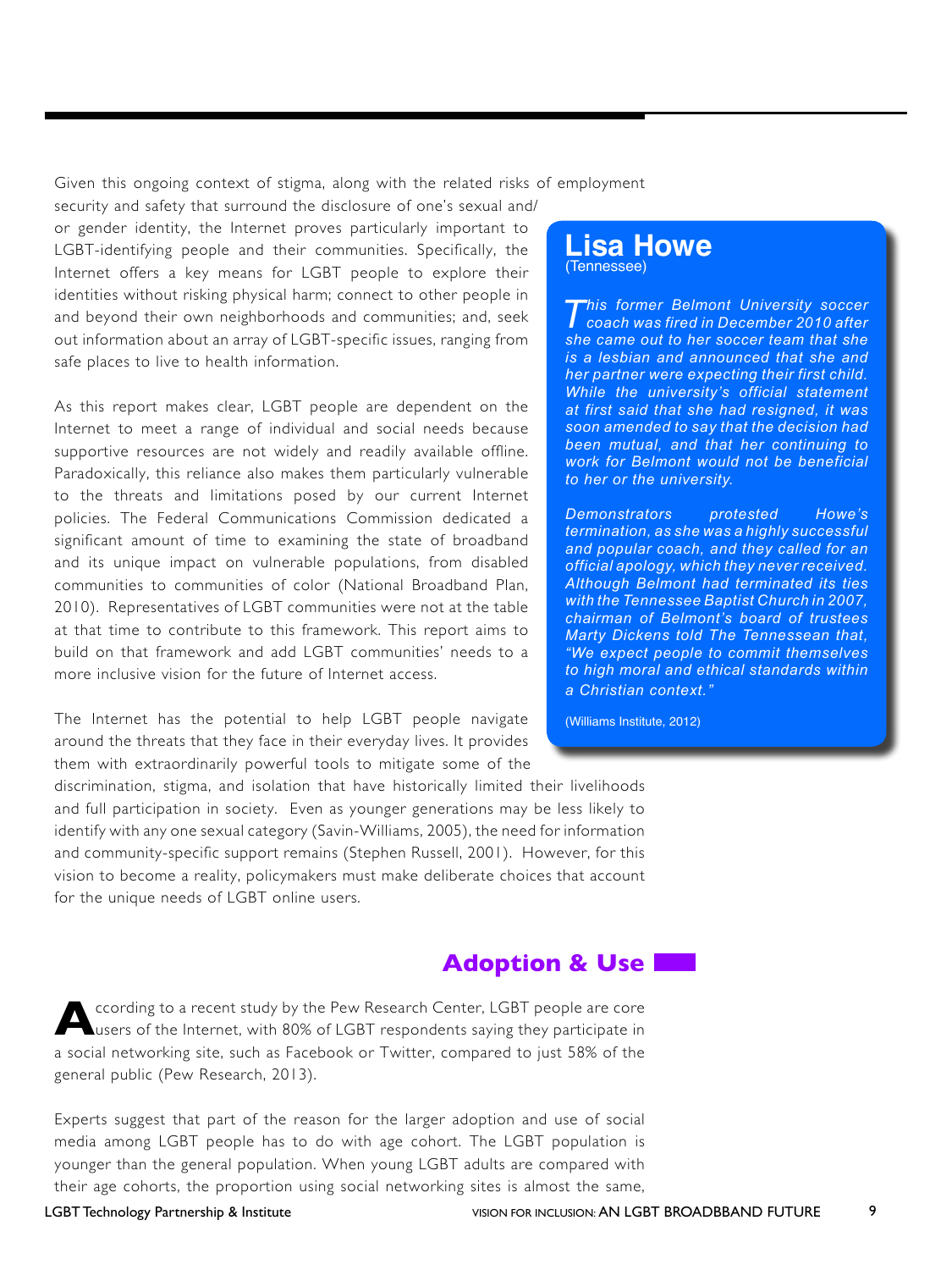Given this ongoing context of stigma, along with the related risks of employment

security and safety that surround the disclosure of one's sexual and/ or gender identity, the Internet proves particularly important to LGBT-identifying people and their communities. Specifically, the Internet offers a key means for LGBT people to explore their identities without risking physical harm; connect to other people in and beyond their own neighborhoods and communities; and, seek out information about an array of LGBT-specific issues, ranging from safe places to live to health information.

As this report makes clear, LGBT people are dependent on the Internet to meet a range of individual and social needs because supportive resources are not widely and readily available offline. Paradoxically, this reliance also makes them particularly vulnerable to the threats and limitations posed by our current Internet policies. The Federal Communications Commission dedicated a significant amount of time to examining the state of broadband and its unique impact on vulnerable populations, from disabled communities to communities of color (National Broadband Plan, 2010). Representatives of LGBT communities were not at the table at that time to contribute to this framework. This report aims to build on that framework and add LGBT communities' needs to a more inclusive vision for the future of Internet access.

The Internet has the potential to help LGBT people navigate around the threats that they face in their everyday lives. It provides them with extraordinarily powerful tools to mitigate some of the

discrimination, stigma, and isolation that have historically limited their livelihoods and full participation in society. Even as younger generations may be less likely to identify with any one sexual category (Savin-Williams, 2005), the need for information and community-specific support remains (Stephen Russell, 2001). However, for this vision to become a reality, policymakers must make deliberate choices that account for the unique needs of LGBT online users.

## **Adoption & Use**

**A**ccording to a recent study by the Pew Research Center, LGBT people are core users of the Internet, with 80% of LGBT respondents saying they participate in a social networking site, such as Facebook or Twitter, compared to just 58% of the general public (Pew Research, 2013).

Experts suggest that part of the reason for the larger adoption and use of social media among LGBT people has to do with age cohort. The LGBT population is younger than the general population. When young LGBT adults are compared with their age cohorts, the proportion using social networking sites is almost the same,

## **Lisa Howe**  (Tennessee)

*This former Belmont University soccer coach was fired in December 2010 after she came out to her soccer team that she is a lesbian and announced that she and her partner were expecting their first child. While the university's official statement at first said that she had resigned, it was soon amended to say that the decision had been mutual, and that her continuing to work for Belmont would not be beneficial to her or the university.* 

*Demonstrators protested Howe's termination, as she was a highly successful and popular coach, and they called for an official apology, which they never received. Although Belmont had terminated its ties with the Tennessee Baptist Church in 2007, chairman of Belmont's board of trustees Marty Dickens told The Tennessean that, "We expect people to commit themselves to high moral and ethical standards within a Christian context."*

(Williams Institute, 2012)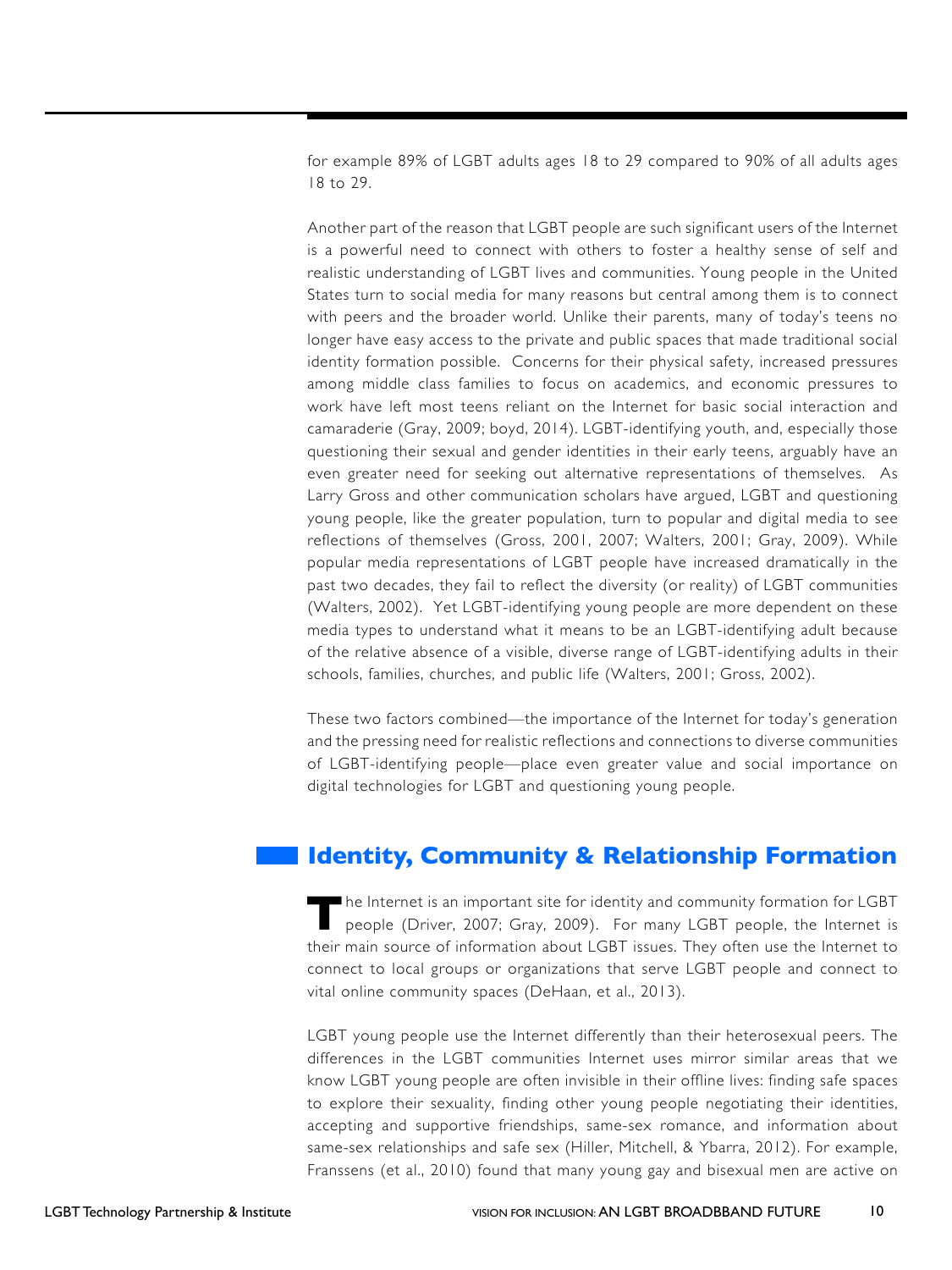for example 89% of LGBT adults ages 18 to 29 compared to 90% of all adults ages 18 to 29.

Another part of the reason that LGBT people are such significant users of the Internet is a powerful need to connect with others to foster a healthy sense of self and realistic understanding of LGBT lives and communities. Young people in the United States turn to social media for many reasons but central among them is to connect with peers and the broader world. Unlike their parents, many of today's teens no longer have easy access to the private and public spaces that made traditional social identity formation possible. Concerns for their physical safety, increased pressures among middle class families to focus on academics, and economic pressures to work have left most teens reliant on the Internet for basic social interaction and camaraderie (Gray, 2009; boyd, 2014). LGBT-identifying youth, and, especially those questioning their sexual and gender identities in their early teens, arguably have an even greater need for seeking out alternative representations of themselves. As Larry Gross and other communication scholars have argued, LGBT and questioning young people, like the greater population, turn to popular and digital media to see reflections of themselves (Gross, 2001, 2007; Walters, 2001; Gray, 2009). While popular media representations of LGBT people have increased dramatically in the past two decades, they fail to reflect the diversity (or reality) of LGBT communities (Walters, 2002). Yet LGBT-identifying young people are more dependent on these media types to understand what it means to be an LGBT-identifying adult because of the relative absence of a visible, diverse range of LGBT-identifying adults in their schools, families, churches, and public life (Walters, 2001; Gross, 2002).

These two factors combined—the importance of the Internet for today's generation and the pressing need for realistic reflections and connections to diverse communities of LGBT-identifying people—place even greater value and social importance on digital technologies for LGBT and questioning young people.

## **Identity, Community & Relationship Formation**

TT The Internet is an important site for identity and community formation for LGBT people (Driver, 2007; Gray, 2009). For many LGBT people, the Internet is their main source of information about LGBT issues. They often use the Internet to connect to local groups or organizations that serve LGBT people and connect to vital online community spaces (DeHaan, et al., 2013).

LGBT young people use the Internet differently than their heterosexual peers. The differences in the LGBT communities Internet uses mirror similar areas that we know LGBT young people are often invisible in their offline lives: finding safe spaces to explore their sexuality, finding other young people negotiating their identities, accepting and supportive friendships, same-sex romance, and information about same-sex relationships and safe sex (Hiller, Mitchell, & Ybarra, 2012). For example, Franssens (et al., 2010) found that many young gay and bisexual men are active on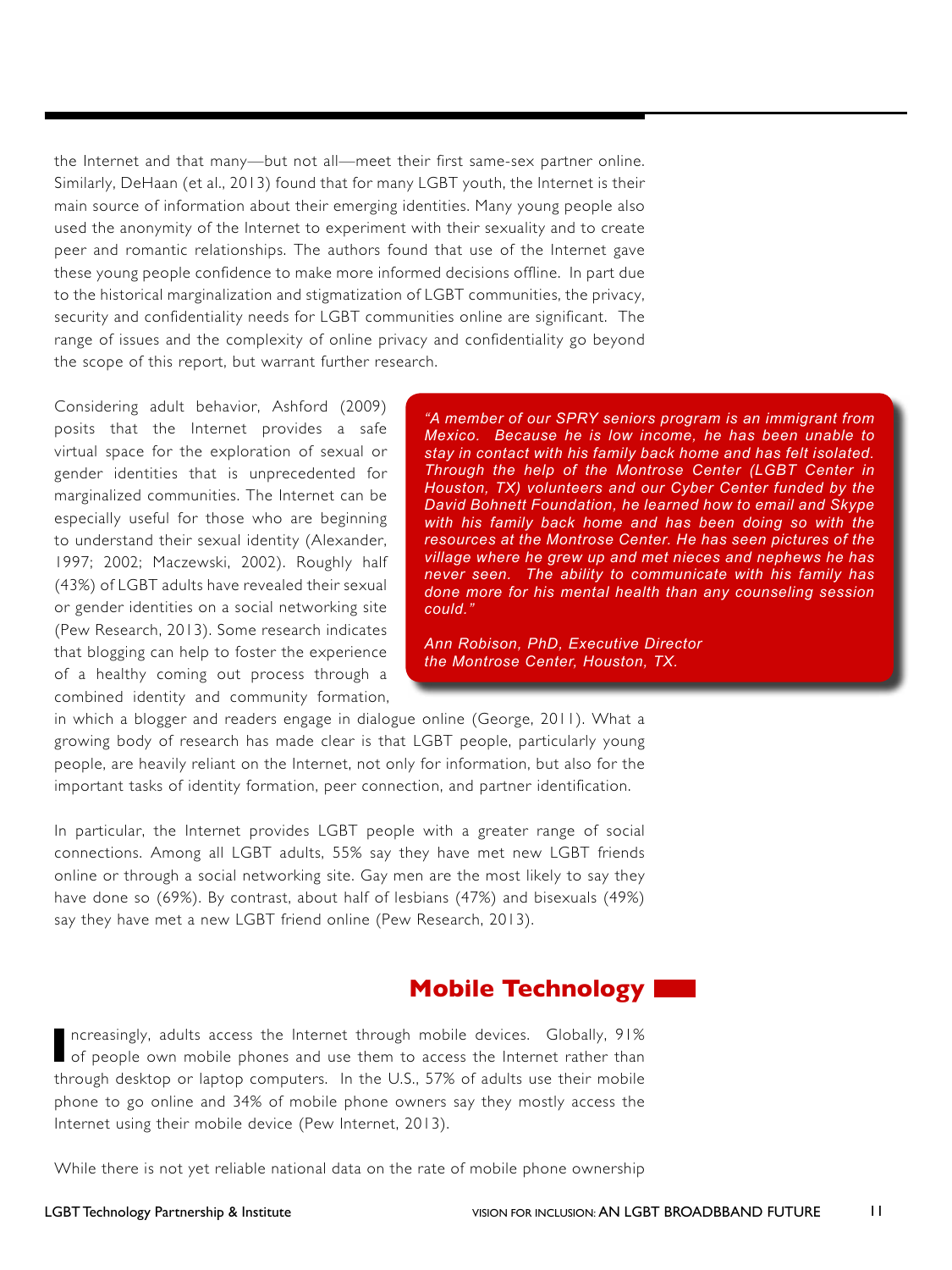the Internet and that many—but not all—meet their first same-sex partner online. Similarly, DeHaan (et al., 2013) found that for many LGBT youth, the Internet is their main source of information about their emerging identities. Many young people also used the anonymity of the Internet to experiment with their sexuality and to create peer and romantic relationships. The authors found that use of the Internet gave these young people confidence to make more informed decisions offline. In part due to the historical marginalization and stigmatization of LGBT communities, the privacy, security and confidentiality needs for LGBT communities online are significant. The range of issues and the complexity of online privacy and confidentiality go beyond the scope of this report, but warrant further research.

Considering adult behavior, Ashford (2009) posits that the Internet provides a safe virtual space for the exploration of sexual or gender identities that is unprecedented for marginalized communities. The Internet can be especially useful for those who are beginning to understand their sexual identity (Alexander, 1997; 2002; Maczewski, 2002). Roughly half (43%) of LGBT adults have revealed their sexual or gender identities on a social networking site (Pew Research, 2013). Some research indicates that blogging can help to foster the experience of a healthy coming out process through a combined identity and community formation,

*"A member of our SPRY seniors program is an immigrant from Mexico. Because he is low income, he has been unable to stay in contact with his family back home and has felt isolated. Through the help of the Montrose Center (LGBT Center in Houston, TX) volunteers and our Cyber Center funded by the David Bohnett Foundation, he learned how to email and Skype with his family back home and has been doing so with the resources at the Montrose Center. He has seen pictures of the village where he grew up and met nieces and nephews he has never seen. The ability to communicate with his family has done more for his mental health than any counseling session could."* 

*Ann Robison, PhD, Executive Director the Montrose Center, Houston, TX.* 

in which a blogger and readers engage in dialogue online (George, 2011). What a growing body of research has made clear is that LGBT people, particularly young people, are heavily reliant on the Internet, not only for information, but also for the important tasks of identity formation, peer connection, and partner identification.

In particular, the Internet provides LGBT people with a greater range of social connections. Among all LGBT adults, 55% say they have met new LGBT friends online or through a social networking site. Gay men are the most likely to say they have done so (69%). By contrast, about half of lesbians (47%) and bisexuals (49%) say they have met a new LGBT friend online (Pew Research, 2013).

## **Mobile Technology**

Increasingly, adults access the Internet through mobile devices. Globally, 91% of people own mobile phones and use them to access the Internet rather than ncreasingly, adults access the Internet through mobile devices. Globally, 91% through desktop or laptop computers. In the U.S., 57% of adults use their mobile phone to go online and 34% of mobile phone owners say they mostly access the Internet using their mobile device (Pew Internet, 2013).

While there is not yet reliable national data on the rate of mobile phone ownership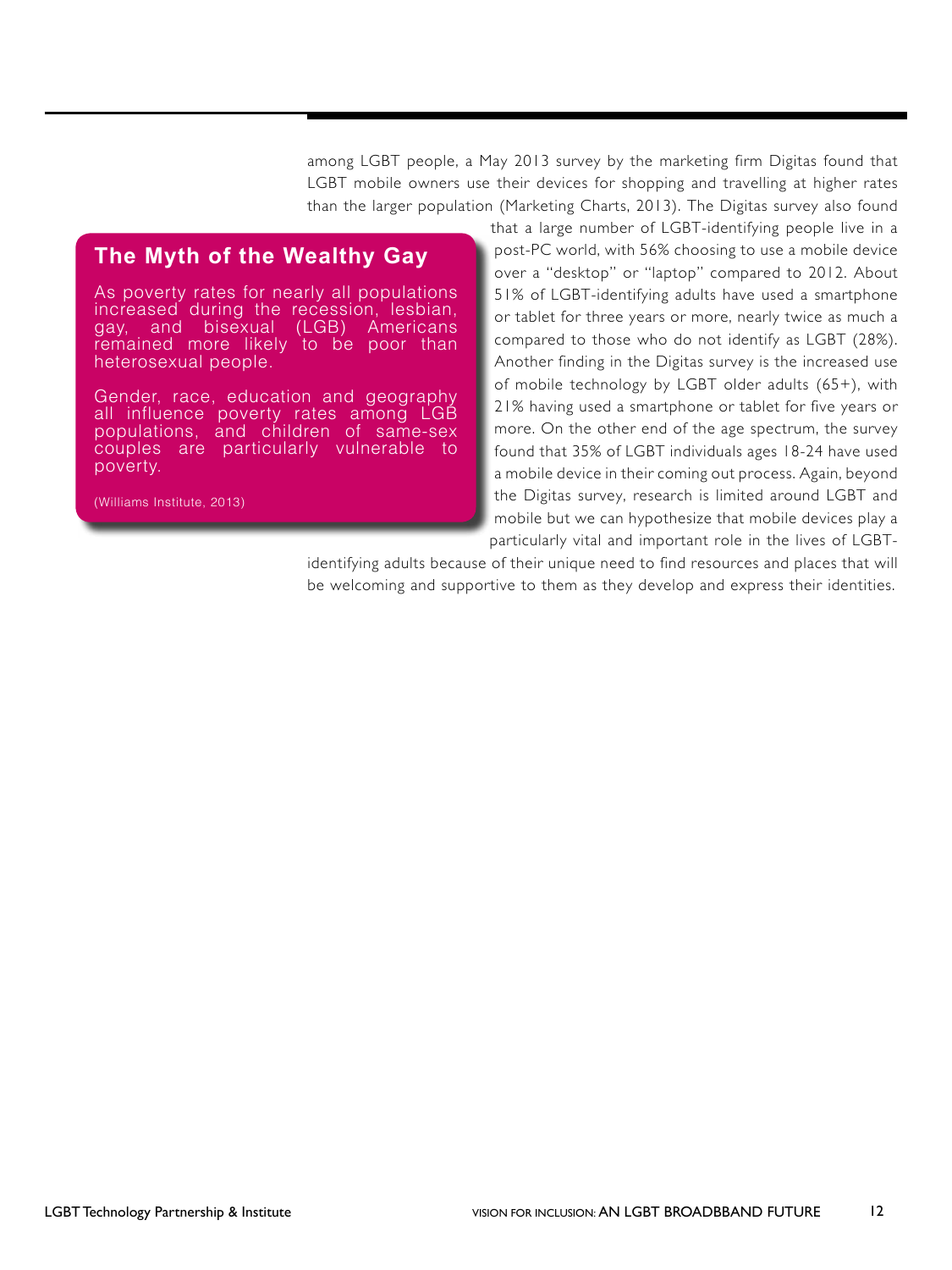among LGBT people, a May 2013 survey by the marketing firm Digitas found that LGBT mobile owners use their devices for shopping and travelling at higher rates than the larger population (Marketing Charts, 2013). The Digitas survey also found

## **The Myth of the Wealthy Gay**

As poverty rates for nearly all populations increased during the recession, lesbian, gay, and bisexual (LGB) Americans remained more likely to be poor than heterosexual people.

Gender, race, education and geography all influence poverty rates among LGB populations, and children of same-sex couples are particularly vulnerable to poverty.

(Williams Institute, 2013)

that a large number of LGBT-identifying people live in a post-PC world, with 56% choosing to use a mobile device over a "desktop" or "laptop" compared to 2012. About 51% of LGBT-identifying adults have used a smartphone or tablet for three years or more, nearly twice as much a compared to those who do not identify as LGBT (28%). Another finding in the Digitas survey is the increased use of mobile technology by LGBT older adults (65+), with 21% having used a smartphone or tablet for five years or more. On the other end of the age spectrum, the survey found that 35% of LGBT individuals ages 18-24 have used a mobile device in their coming out process. Again, beyond the Digitas survey, research is limited around LGBT and mobile but we can hypothesize that mobile devices play a particularly vital and important role in the lives of LGBT-

identifying adults because of their unique need to find resources and places that will be welcoming and supportive to them as they develop and express their identities.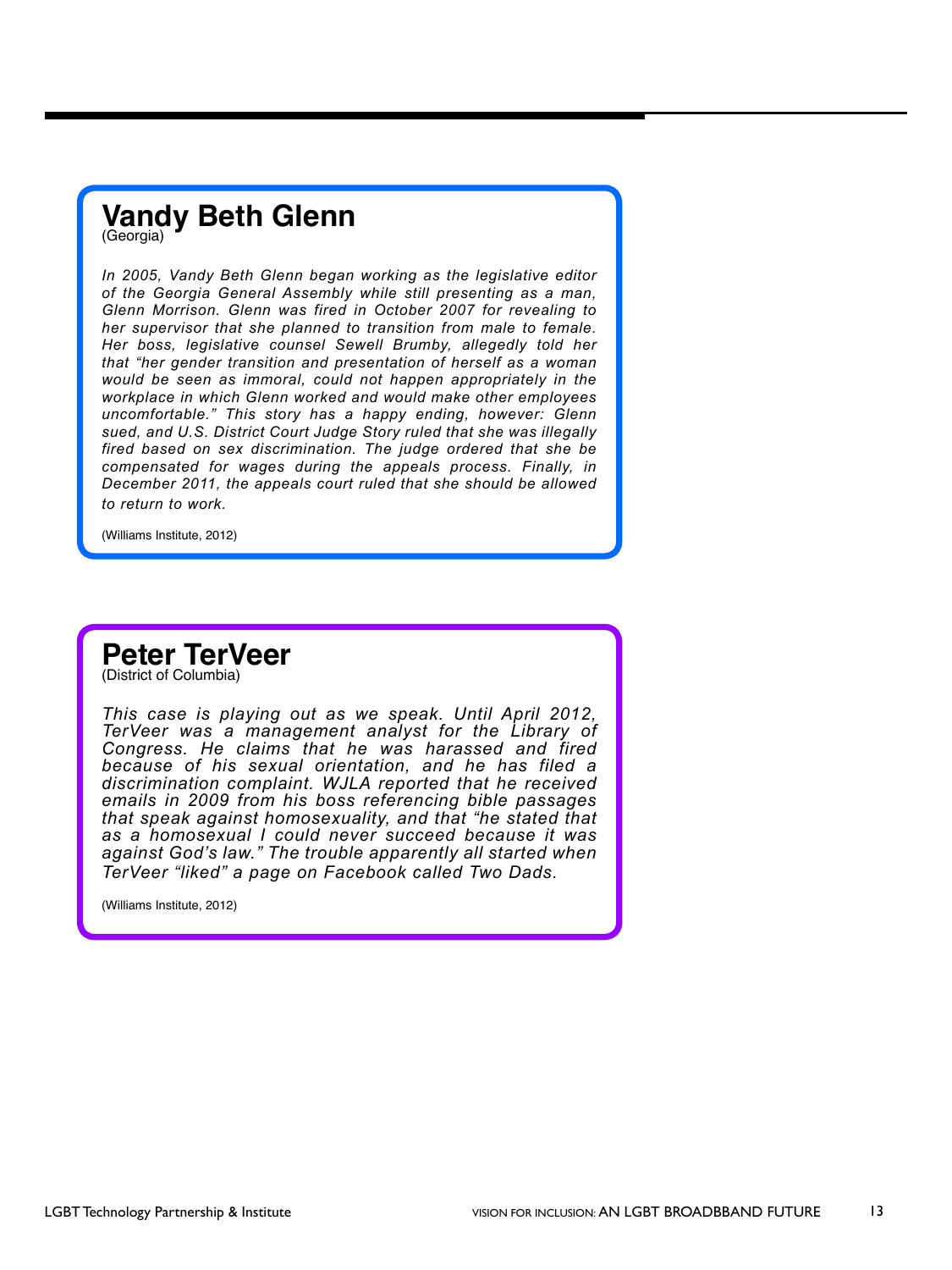## **Vandy Beth Glenn**

(Georgia)

*In 2005, Vandy Beth Glenn began working as the legislative editor of the Georgia General Assembly while still presenting as a man, Glenn Morrison. Glenn was fired in October 2007 for revealing to her supervisor that she planned to transition from male to female. Her boss, legislative counsel Sewell Brumby, allegedly told her that "her gender transition and presentation of herself as a woman would be seen as immoral, could not happen appropriately in the workplace in which Glenn worked and would make other employees uncomfortable." This story has a happy ending, however: Glenn sued, and U.S. District Court Judge Story ruled that she was illegally fired based on sex discrimination. The judge ordered that she be compensated for wages during the appeals process. Finally, in December 2011, the appeals court ruled that she should be allowed to return to work.* 

 (Williams Institute, 2012)

## **Peter TerVeer**

(District of Columbia)

*This case is playing out as we speak. Until April 2012, TerVeer was a management analyst for the Library of Congress. He claims that he was harassed and fired because of his sexual orientation, and he has filed a discrimination complaint. WJLA reported that he received emails in 2009 from his boss referencing bible passages that speak against homosexuality, and that "he stated that as a homosexual I could never succeed because it was against God's law." The trouble apparently all started when TerVeer "liked" a page on Facebook called Two Dads.* 

 (Williams Institute, 2012)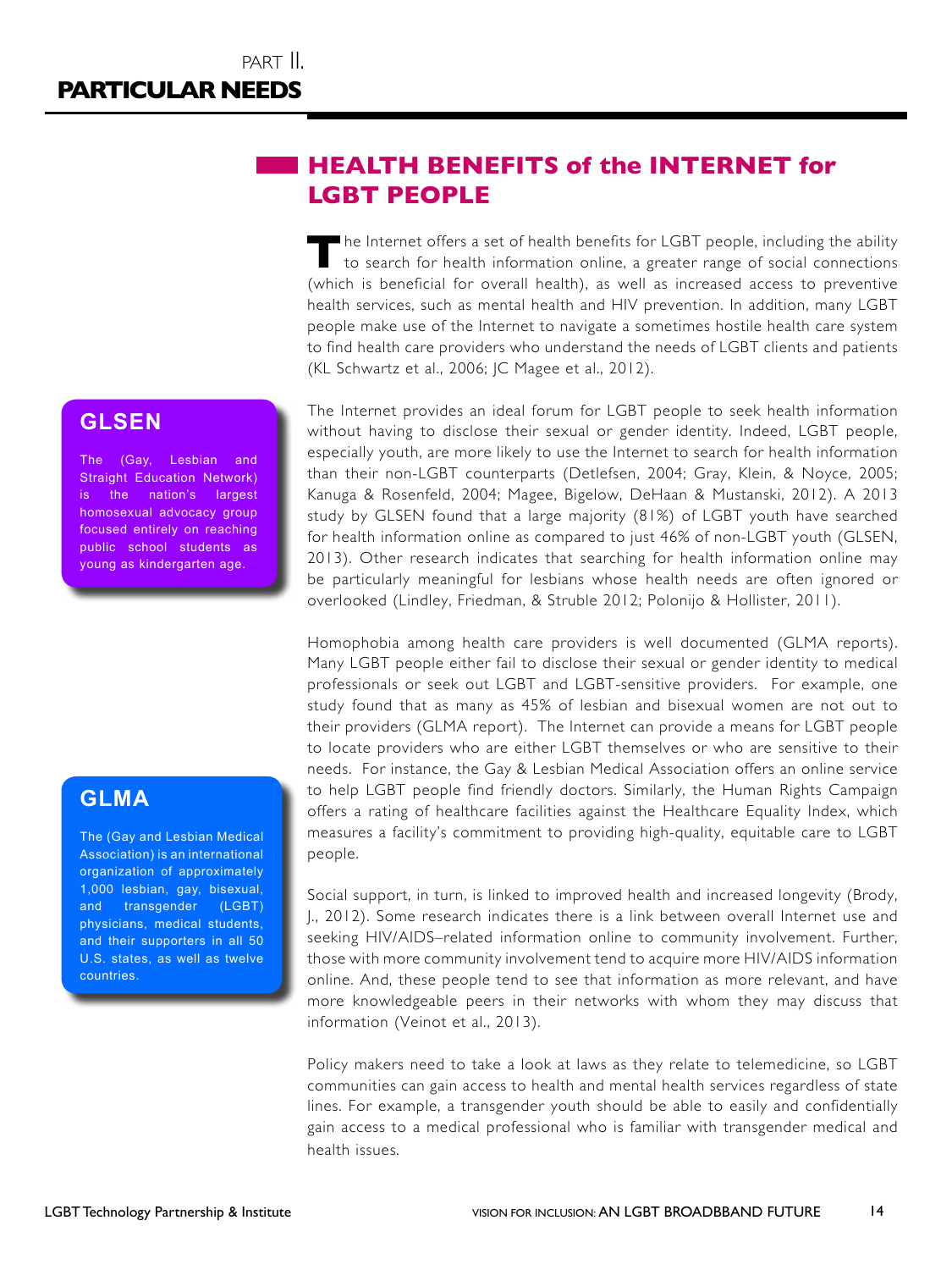## **HEALTH BENEFITS of the INTERNET for LGBT PEOPLE**

TT The Internet offers a set of health benefits for LGBT people, including the ability<br>to search for health information online, a greater range of social connections (which is beneficial for overall health), as well as increased access to preventive health services, such as mental health and HIV prevention. In addition, many LGBT people make use of the Internet to navigate a sometimes hostile health care system to find health care providers who understand the needs of LGBT clients and patients (KL Schwartz et al., 2006; JC Magee et al., 2012).

The Internet provides an ideal forum for LGBT people to seek health information without having to disclose their sexual or gender identity. Indeed, LGBT people, especially youth, are more likely to use the Internet to search for health information than their non-LGBT counterparts (Detlefsen, 2004; Gray, Klein, & Noyce, 2005; Kanuga & Rosenfeld, 2004; Magee, Bigelow, DeHaan & Mustanski, 2012). A 2013 study by GLSEN found that a large majority (81%) of LGBT youth have searched for health information online as compared to just 46% of non-LGBT youth (GLSEN, 2013). Other research indicates that searching for health information online may be particularly meaningful for lesbians whose health needs are often ignored or overlooked (Lindley, Friedman, & Struble 2012; Polonijo & Hollister, 2011).

Homophobia among health care providers is well documented (GLMA reports). Many LGBT people either fail to disclose their sexual or gender identity to medical professionals or seek out LGBT and LGBT-sensitive providers. For example, one study found that as many as 45% of lesbian and bisexual women are not out to their providers (GLMA report). The Internet can provide a means for LGBT people to locate providers who are either LGBT themselves or who are sensitive to their needs. For instance, the Gay & Lesbian Medical Association offers an online service to help LGBT people find friendly doctors. Similarly, the Human Rights Campaign offers a rating of healthcare facilities against the Healthcare Equality Index, which measures a facility's commitment to providing high-quality, equitable care to LGBT people.

Social support, in turn, is linked to improved health and increased longevity (Brody, J., 2012). Some research indicates there is a link between overall Internet use and seeking HIV/AIDS–related information online to community involvement. Further, those with more community involvement tend to acquire more HIV/AIDS information online. And, these people tend to see that information as more relevant, and have more knowledgeable peers in their networks with whom they may discuss that information (Veinot et al., 2013).

Policy makers need to take a look at laws as they relate to telemedicine, so LGBT communities can gain access to health and mental health services regardless of state lines. For example, a transgender youth should be able to easily and confidentially gain access to a medical professional who is familiar with transgender medical and health issues.

## **GLSEN**

The (Gay, Lesbian and Straight Education Network) is the nation's largest homosexual advocacy group focused entirely on reaching public school students as young as kindergarten age.

## **GLMA**

The (Gay and Lesbian Medical Association) is an international organization of approximately 1,000 lesbian, gay, bisexual, and transgender (LGBT) physicians, medical students, and their supporters in all 50 U.S. states, as well as twelve countries.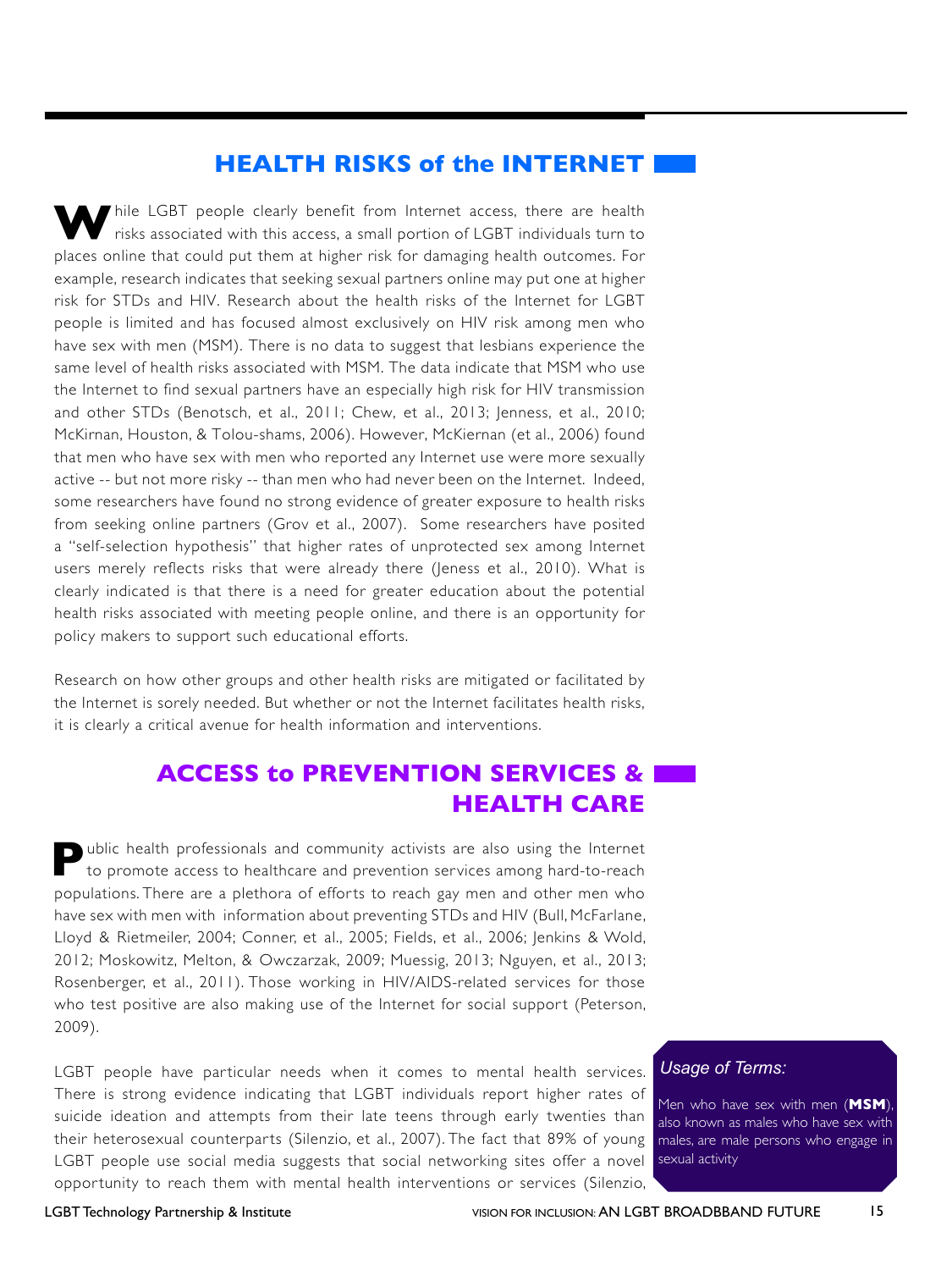## **HEALTH RISKS of the INTERNET**

While LGBT people clearly benefit from Internet access, there are health risks associated with this access, a small portion of LGBT individuals turn to places online that could put them at higher risk for damaging health outcomes. For example, research indicates that seeking sexual partners online may put one at higher risk for STDs and HIV. Research about the health risks of the Internet for LGBT people is limited and has focused almost exclusively on HIV risk among men who have sex with men (MSM). There is no data to suggest that lesbians experience the same level of health risks associated with MSM. The data indicate that MSM who use the Internet to find sexual partners have an especially high risk for HIV transmission and other STDs (Benotsch, et al., 2011; Chew, et al., 2013; Jenness, et al., 2010; McKirnan, Houston, & Tolou-shams, 2006). However, McKiernan (et al., 2006) found that men who have sex with men who reported any Internet use were more sexually active -- but not more risky -- than men who had never been on the Internet. Indeed, some researchers have found no strong evidence of greater exposure to health risks from seeking online partners (Grov et al., 2007). Some researchers have posited a ''self-selection hypothesis'' that higher rates of unprotected sex among Internet users merely reflects risks that were already there (Jeness et al., 2010). What is clearly indicated is that there is a need for greater education about the potential health risks associated with meeting people online, and there is an opportunity for policy makers to support such educational efforts.

Research on how other groups and other health risks are mitigated or facilitated by the Internet is sorely needed. But whether or not the Internet facilitates health risks, it is clearly a critical avenue for health information and interventions.

## **ACCESS to PREVENTION SERVICES & HEALTH CARE**

**P**ublic health professionals and community activists are also using the Internet to promote access to healthcare and prevention services among hard-to-reach populations. There are a plethora of efforts to reach gay men and other men who have sex with men with information about preventing STDs and HIV (Bull, McFarlane, Lloyd & Rietmeiler, 2004; Conner, et al., 2005; Fields, et al., 2006; Jenkins & Wold, 2012; Moskowitz, Melton, & Owczarzak, 2009; Muessig, 2013; Nguyen, et al., 2013; Rosenberger, et al., 2011). Those working in HIV/AIDS-related services for those who test positive are also making use of the Internet for social support (Peterson, 2009).

LGBT people have particular needs when it comes to mental health services. There is strong evidence indicating that LGBT individuals report higher rates of suicide ideation and attempts from their late teens through early twenties than their heterosexual counterparts (Silenzio, et al., 2007). The fact that 89% of young LGBT people use social media suggests that social networking sites offer a novel opportunity to reach them with mental health interventions or services (Silenzio,

#### *Usage of Terms:*

Men who have sex with men (**MSM**), also known as males who have sex with males, are male persons who engage in sexual activity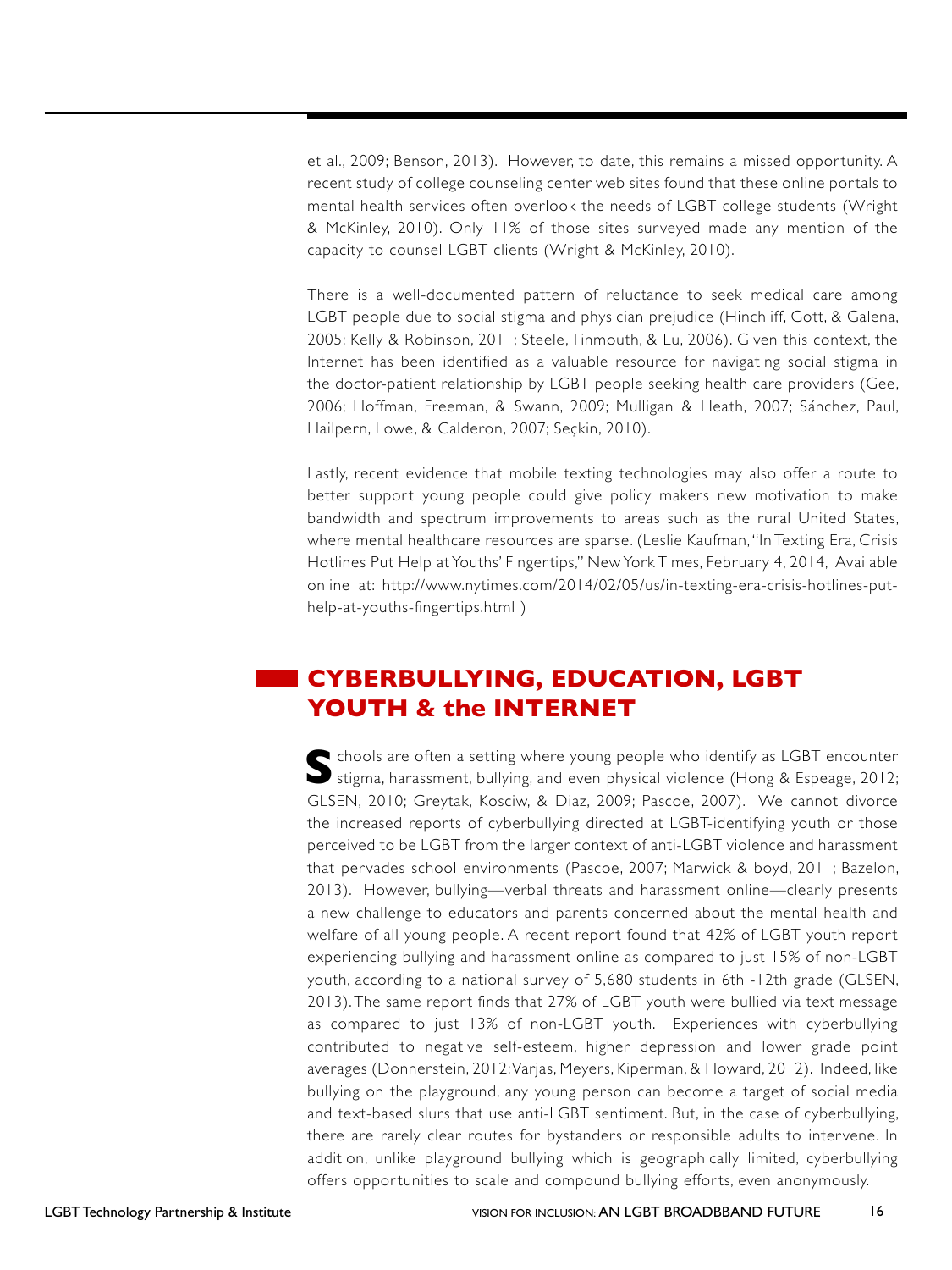et al., 2009; Benson, 2013). However, to date, this remains a missed opportunity. A recent study of college counseling center web sites found that these online portals to mental health services often overlook the needs of LGBT college students (Wright & McKinley, 2010). Only 11% of those sites surveyed made any mention of the capacity to counsel LGBT clients (Wright & McKinley, 2010).

There is a well-documented pattern of reluctance to seek medical care among LGBT people due to social stigma and physician prejudice (Hinchliff, Gott, & Galena, 2005; Kelly & Robinson, 2011; Steele, Tinmouth, & Lu, 2006). Given this context, the Internet has been identified as a valuable resource for navigating social stigma in the doctor-patient relationship by LGBT people seeking health care providers (Gee, 2006; Hoffman, Freeman, & Swann, 2009; Mulligan & Heath, 2007; Sánchez, Paul, Hailpern, Lowe, & Calderon, 2007; Seçkin, 2010).

Lastly, recent evidence that mobile texting technologies may also offer a route to better support young people could give policy makers new motivation to make bandwidth and spectrum improvements to areas such as the rural United States, where mental healthcare resources are sparse. (Leslie Kaufman, "In Texting Era, Crisis Hotlines Put Help at Youths' Fingertips," New York Times, February 4, 2014, Available online at: http://www.nytimes.com/2014/02/05/us/in-texting-era-crisis-hotlines-puthelp-at-youths-fingertips.html )

## **CYBERBULLYING, EDUCATION, LGBT YOUTH & the INTERNET**

**S**chools are often a setting where young people who identify as LGBT encounter stigma, harassment, bullying, and even physical violence (Hong & Espeage, 2012; GLSEN, 2010; Greytak, Kosciw, & Diaz, 2009; Pascoe, 2007). We cannot divorce the increased reports of cyberbullying directed at LGBT-identifying youth or those perceived to be LGBT from the larger context of anti-LGBT violence and harassment that pervades school environments (Pascoe, 2007; Marwick & boyd, 2011; Bazelon, 2013). However, bullying—verbal threats and harassment online—clearly presents a new challenge to educators and parents concerned about the mental health and welfare of all young people. A recent report found that 42% of LGBT youth report experiencing bullying and harassment online as compared to just 15% of non-LGBT youth, according to a national survey of 5,680 students in 6th -12th grade (GLSEN, 2013). The same report finds that 27% of LGBT youth were bullied via text message as compared to just 13% of non-LGBT youth. Experiences with cyberbullying contributed to negative self-esteem, higher depression and lower grade point averages (Donnerstein, 2012; Varjas, Meyers, Kiperman, & Howard, 2012). Indeed, like bullying on the playground, any young person can become a target of social media and text-based slurs that use anti-LGBT sentiment. But, in the case of cyberbullying, there are rarely clear routes for bystanders or responsible adults to intervene. In addition, unlike playground bullying which is geographically limited, cyberbullying offers opportunities to scale and compound bullying efforts, even anonymously.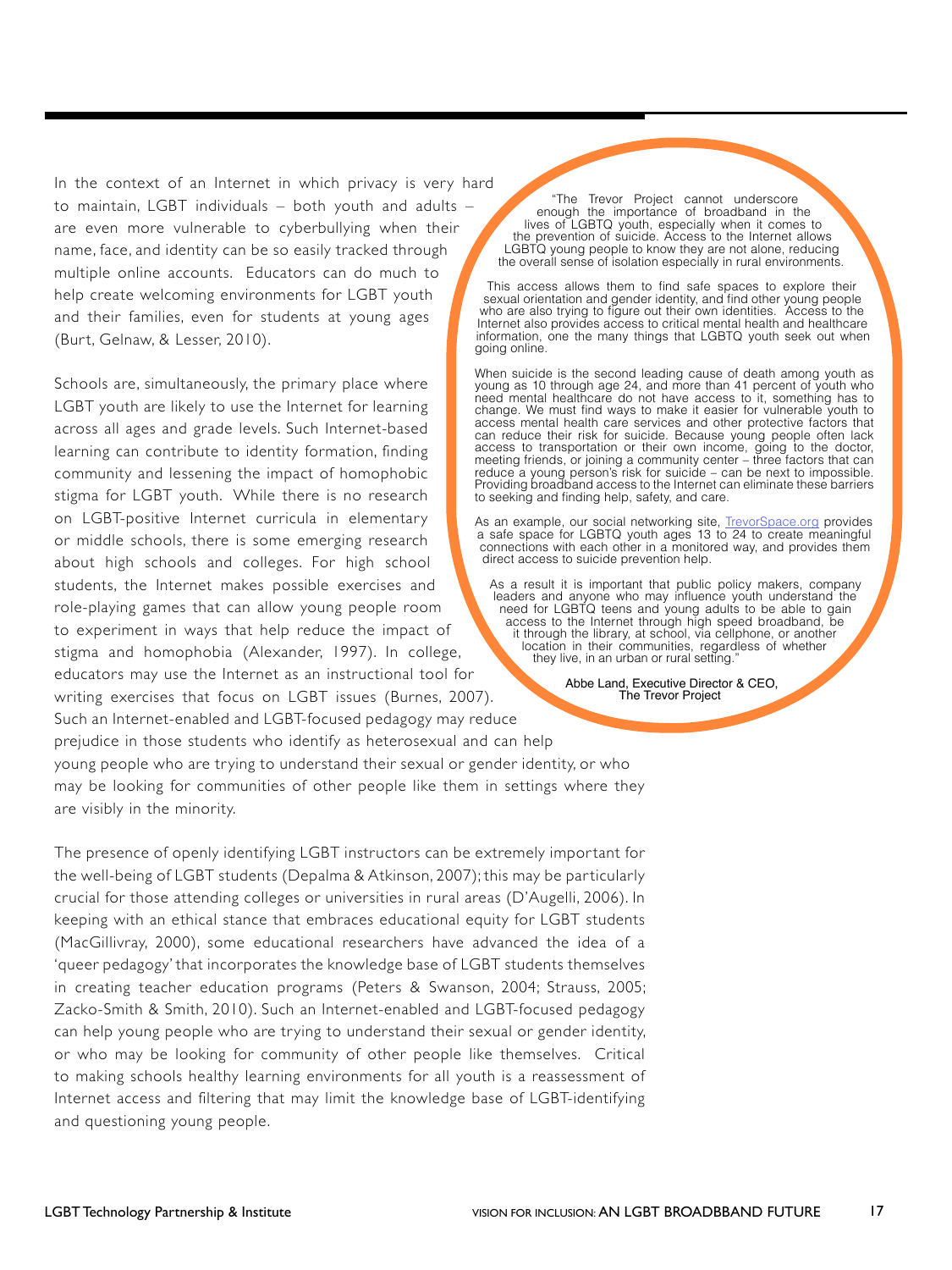In the context of an Internet in which privacy is very hard to maintain, LGBT individuals – both youth and adults – are even more vulnerable to cyberbullying when their name, face, and identity can be so easily tracked through multiple online accounts. Educators can do much to help create welcoming environments for LGBT youth and their families, even for students at young ages (Burt, Gelnaw, & Lesser, 2010).

Schools are, simultaneously, the primary place where LGBT youth are likely to use the Internet for learning across all ages and grade levels. Such Internet-based learning can contribute to identity formation, finding community and lessening the impact of homophobic stigma for LGBT youth. While there is no research on LGBT-positive Internet curricula in elementary or middle schools, there is some emerging research about high schools and colleges. For high school students, the Internet makes possible exercises and role-playing games that can allow young people room to experiment in ways that help reduce the impact of stigma and homophobia (Alexander, 1997). In college, educators may use the Internet as an instructional tool for writing exercises that focus on LGBT issues (Burnes, 2007). Such an Internet-enabled and LGBT-focused pedagogy may reduce prejudice in those students who identify as heterosexual and can help young people who are trying to understand their sexual or gender identity, or who may be looking for communities of other people like them in settings where they are visibly in the minority.

The presence of openly identifying LGBT instructors can be extremely important for the well-being of LGBT students (Depalma & Atkinson, 2007); this may be particularly crucial for those attending colleges or universities in rural areas (D'Augelli, 2006). In keeping with an ethical stance that embraces educational equity for LGBT students (MacGillivray, 2000), some educational researchers have advanced the idea of a 'queer pedagogy' that incorporates the knowledge base of LGBT students themselves in creating teacher education programs (Peters & Swanson, 2004; Strauss, 2005; Zacko-Smith & Smith, 2010). Such an Internet-enabled and LGBT-focused pedagogy can help young people who are trying to understand their sexual or gender identity, or who may be looking for community of other people like themselves. Critical to making schools healthy learning environments for all youth is a reassessment of Internet access and filtering that may limit the knowledge base of LGBT-identifying and questioning young people.

"The Trevor Project cannot underscore enough the importance of broadband in the lives of LGBTQ youth, especially when it comes to the prevention of suicide. Access to the Internet allows LGBTQ young people to know they are not alone, reducing the overall sense of isolation especially in rural environments.

This access allows them to find safe spaces to explore their sexual orientation and gender identity, and find other young people who are also trying to figure out their own identities. Access to the Internet also provides access to critical mental health and healthcare information, one the many things that LGBTQ youth seek out when going online.

When suicide is the second leading cause of death among youth as young as 10 through age 24, and more than 41 percent of youth who need mental healthcare do not have access to it, something has to change. We must find ways to make it easier for vulnerable youth to access mental health care services and other protective factors that can reduce their risk for suicide. Because young people often lack access to transportation or their own income, going to the doctor, meeting friends, or joining a community center – three factors that can reduce a young person's risk for suicide – can be next to impossible. Providing broadband access to the Internet can eliminate these barriers to seeking and finding help, safety, and care.

As an example, our social networking site, [TrevorSpace.org](http://TrevorSpace.org) provides a safe space for LGBTQ youth ages 13 to 24 to create meaningful connections with each other in a monitored way, and provides them direct access to suicide prevention help.

As a result it is important that public policy makers, company leaders and anyone who may influence youth understand the need for LGBTQ teens and young adults to be able to gain access to the Internet through high speed broadband, be it through the library, at school, via cellphone, or another location in their communities, regardless of whether they live, in an urban or rural setting.

> Abbe Land, Executive Director & CEO, The Trevor Project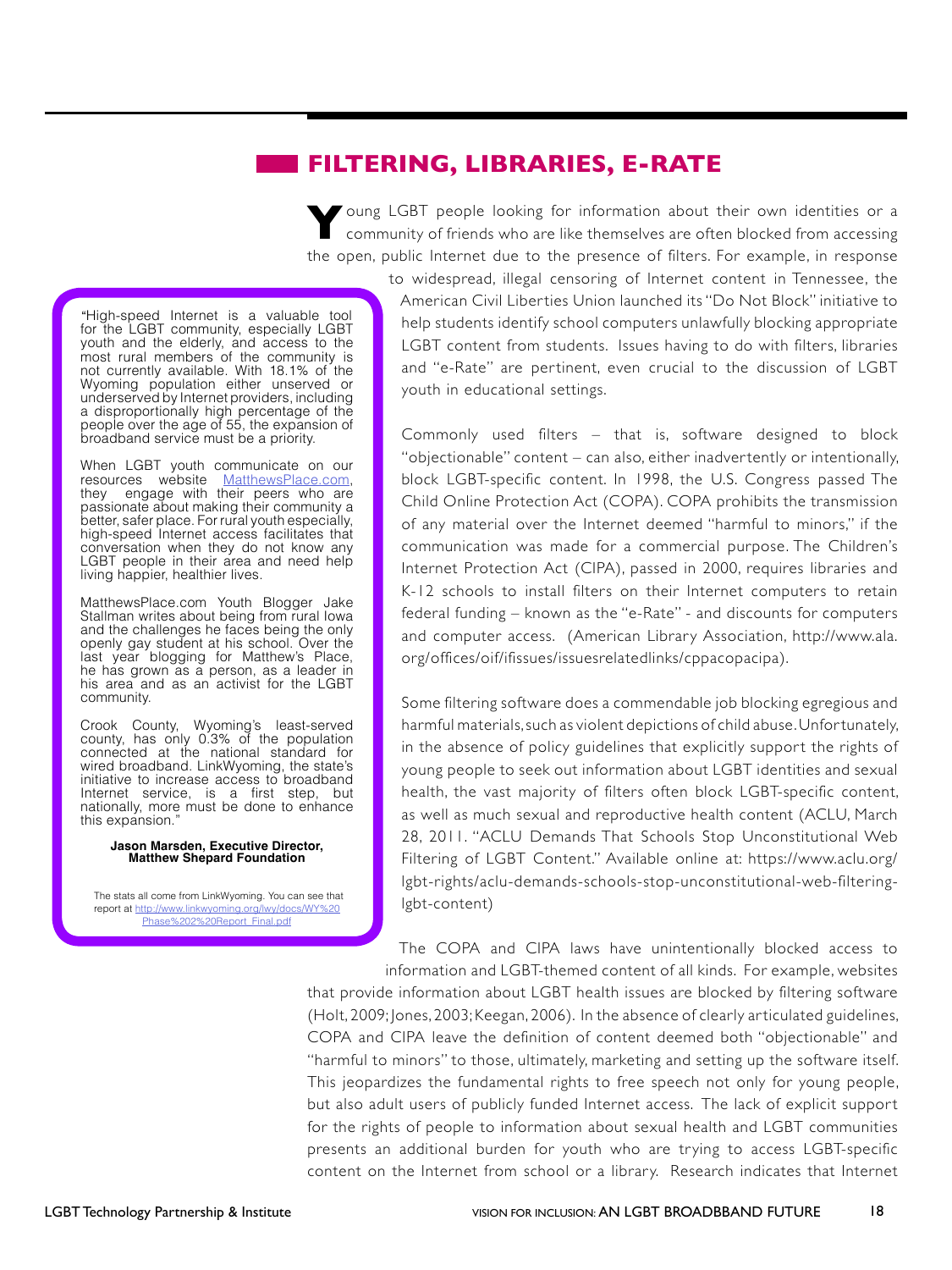## **FILTERING, LIBRARIES, E-RATE**

Young LGBT people looking for information about their own identities or a community of friends who are like themselves are often blocked from accessing the open, public Internet due to the presence of filters. For example, in response

"High-speed Internet is a valuable tool for the LGBT community, especially LGBT youth and the elderly, and access to the most rural members of the community is not currently available. With 18.1% of the Wyoming population either unserved or underserved by Internet providers, including a disproportionally high percentage of the people over the age of 55, the expansion of broadband service must be a priority.

When LGBT youth communicate on our resources website MatthewsPlace.com, they engage with t[heir peers who are](http://MatthewsPlace.com) passionate about making their community a better, safer place. For rural youth especially, high-speed Internet access facilitates that conversation when they do not know any LGBT people in their area and need help living happier, healthier lives.

MatthewsPlace.com Youth Blogger Jake Stallman writes about being from rural Iowa and the challenges he faces being the only openly gay student at his school. Over the last year blogging for Matthew's Place, he has grown as a person, as a leader in his area and as an activist for the LGBT community.

Crook County, Wyoming's least-served county, has only 0.3% of the population connected at the national standard for wired broadband. LinkWyoming, the state's initiative to increase access to broadband Internet service, is a first step, but nationally, more must be done to enhance this expansion."

#### **Jason Marsden, Executive Director, Matthew Shepard Foundation**

The stats all come from LinkWyoming. You can see that report at [http://www.linkwyoming.org/lwy/docs/WY%20](http://www.linkwyoming.org/lwy/docs/WY%20Phase%202%20Report_Final.pdf) [Phase%202%20Report\\_Final.pdf](http://www.linkwyoming.org/lwy/docs/WY%20Phase%202%20Report_Final.pdf)

to widespread, illegal censoring of Internet content in Tennessee, the American Civil Liberties Union launched its "Do Not Block" initiative to help students identify school computers unlawfully blocking appropriate LGBT content from students. Issues having to do with filters, libraries and "e-Rate" are pertinent, even crucial to the discussion of LGBT youth in educational settings.

Commonly used filters – that is, software designed to block "objectionable" content – can also, either inadvertently or intentionally, block LGBT-specific content. In 1998, the U.S. Congress passed The Child Online Protection Act (COPA). COPA prohibits the transmission of any material over the Internet deemed "harmful to minors," if the communication was made for a commercial purpose. The Children's Internet Protection Act (CIPA), passed in 2000, requires libraries and K-12 schools to install filters on their Internet computers to retain federal funding – known as the "e-Rate" - and discounts for computers and computer access. (American Library Association, http://www.ala. org/offices/oif/ifissues/issuesrelatedlinks/cppacopacipa).

Some filtering software does a commendable job blocking egregious and harmful materials, such as violent depictions of child abuse. Unfortunately, in the absence of policy guidelines that explicitly support the rights of young people to seek out information about LGBT identities and sexual health, the vast majority of filters often block LGBT-specific content, as well as much sexual and reproductive health content (ACLU, March 28, 2011. "ACLU Demands That Schools Stop Unconstitutional Web Filtering of LGBT Content." Available online at: https://www.aclu.org/ lgbt-rights/aclu-demands-schools-stop-unconstitutional-web-filteringlgbt-content)

The COPA and CIPA laws have unintentionally blocked access to information and LGBT-themed content of all kinds. For example, websites

that provide information about LGBT health issues are blocked by filtering software (Holt, 2009; Jones, 2003; Keegan, 2006). In the absence of clearly articulated guidelines, COPA and CIPA leave the definition of content deemed both "objectionable" and "harmful to minors" to those, ultimately, marketing and setting up the software itself. This jeopardizes the fundamental rights to free speech not only for young people, but also adult users of publicly funded Internet access. The lack of explicit support for the rights of people to information about sexual health and LGBT communities presents an additional burden for youth who are trying to access LGBT-specific content on the Internet from school or a library. Research indicates that Internet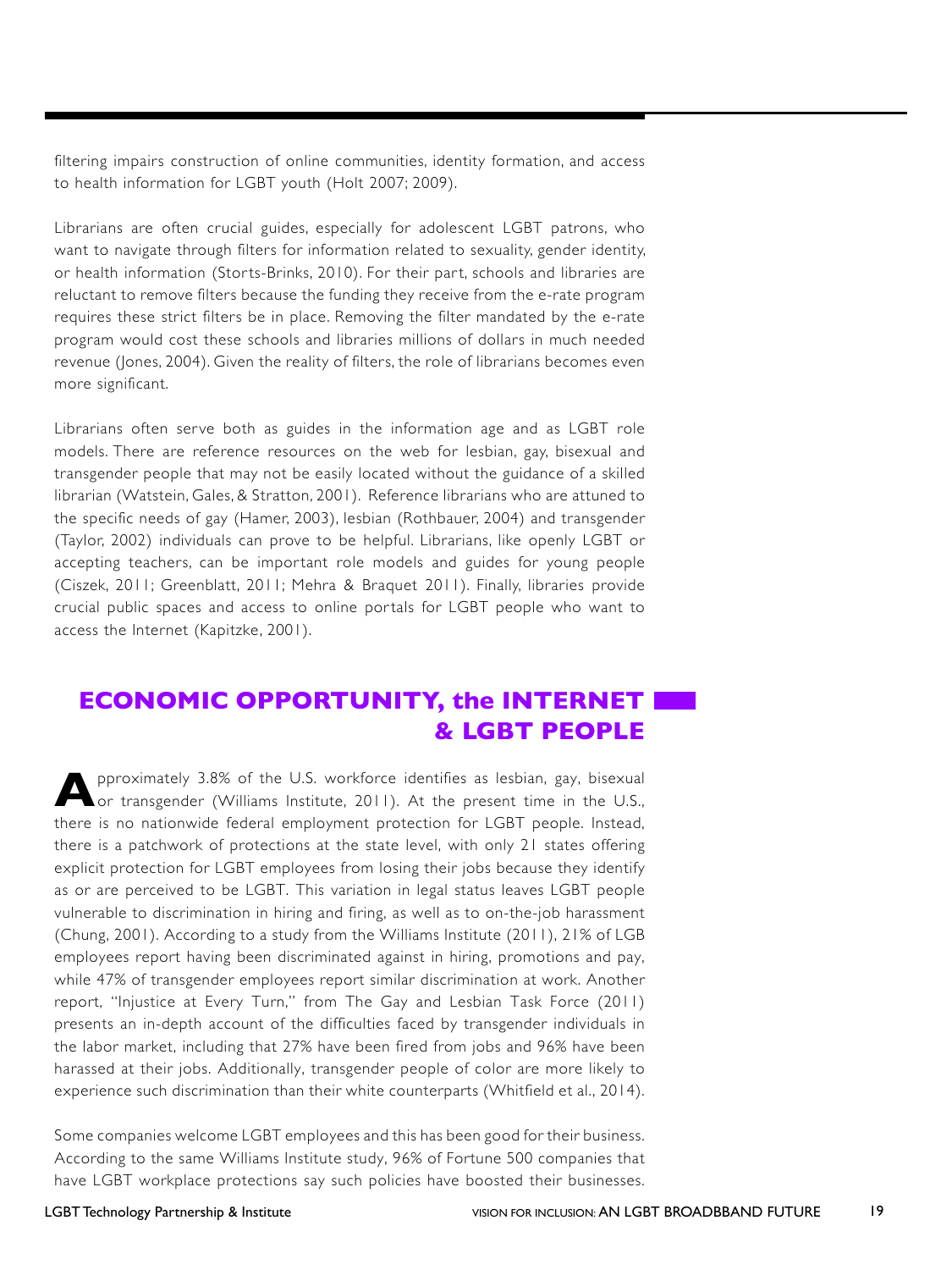filtering impairs construction of online communities, identity formation, and access to health information for LGBT youth (Holt 2007; 2009).

Librarians are often crucial guides, especially for adolescent LGBT patrons, who want to navigate through filters for information related to sexuality, gender identity, or health information (Storts-Brinks, 2010). For their part, schools and libraries are reluctant to remove filters because the funding they receive from the e-rate program requires these strict filters be in place. Removing the filter mandated by the e-rate program would cost these schools and libraries millions of dollars in much needed revenue (Jones, 2004). Given the reality of filters, the role of librarians becomes even more significant.

Librarians often serve both as guides in the information age and as LGBT role models. There are reference resources on the web for lesbian, gay, bisexual and transgender people that may not be easily located without the guidance of a skilled librarian (Watstein, Gales, & Stratton, 2001). Reference librarians who are attuned to the specific needs of gay (Hamer, 2003), lesbian (Rothbauer, 2004) and transgender (Taylor, 2002) individuals can prove to be helpful. Librarians, like openly LGBT or accepting teachers, can be important role models and guides for young people (Ciszek, 2011; Greenblatt, 2011; Mehra & Braquet 2011). Finally, libraries provide crucial public spaces and access to online portals for LGBT people who want to access the Internet (Kapitzke, 2001).

## **ECONOMIC OPPORTUNITY, the INTERNET & LGBT PEOPLE**

**A**pproximately 3.8% of the U.S. workforce identifies as lesbian, gay, bisexual or transgender (Williams Institute, 2011). At the present time in the U.S., there is no nationwide federal employment protection for LGBT people. Instead, there is a patchwork of protections at the state level, with only 21 states offering explicit protection for LGBT employees from losing their jobs because they identify as or are perceived to be LGBT. This variation in legal status leaves LGBT people vulnerable to discrimination in hiring and firing, as well as to on-the-job harassment (Chung, 2001). According to a study from the Williams Institute (2011), 21% of LGB employees report having been discriminated against in hiring, promotions and pay, while 47% of transgender employees report similar discrimination at work. Another report, "Injustice at Every Turn," from The Gay and Lesbian Task Force (2011) presents an in-depth account of the difficulties faced by transgender individuals in the labor market, including that 27% have been fired from jobs and 96% have been harassed at their jobs. Additionally, transgender people of color are more likely to experience such discrimination than their white counterparts (Whitfield et al., 2014).

Some companies welcome LGBT employees and this has been good for their business. According to the same Williams Institute study, 96% of Fortune 500 companies that have LGBT workplace protections say such policies have boosted their businesses.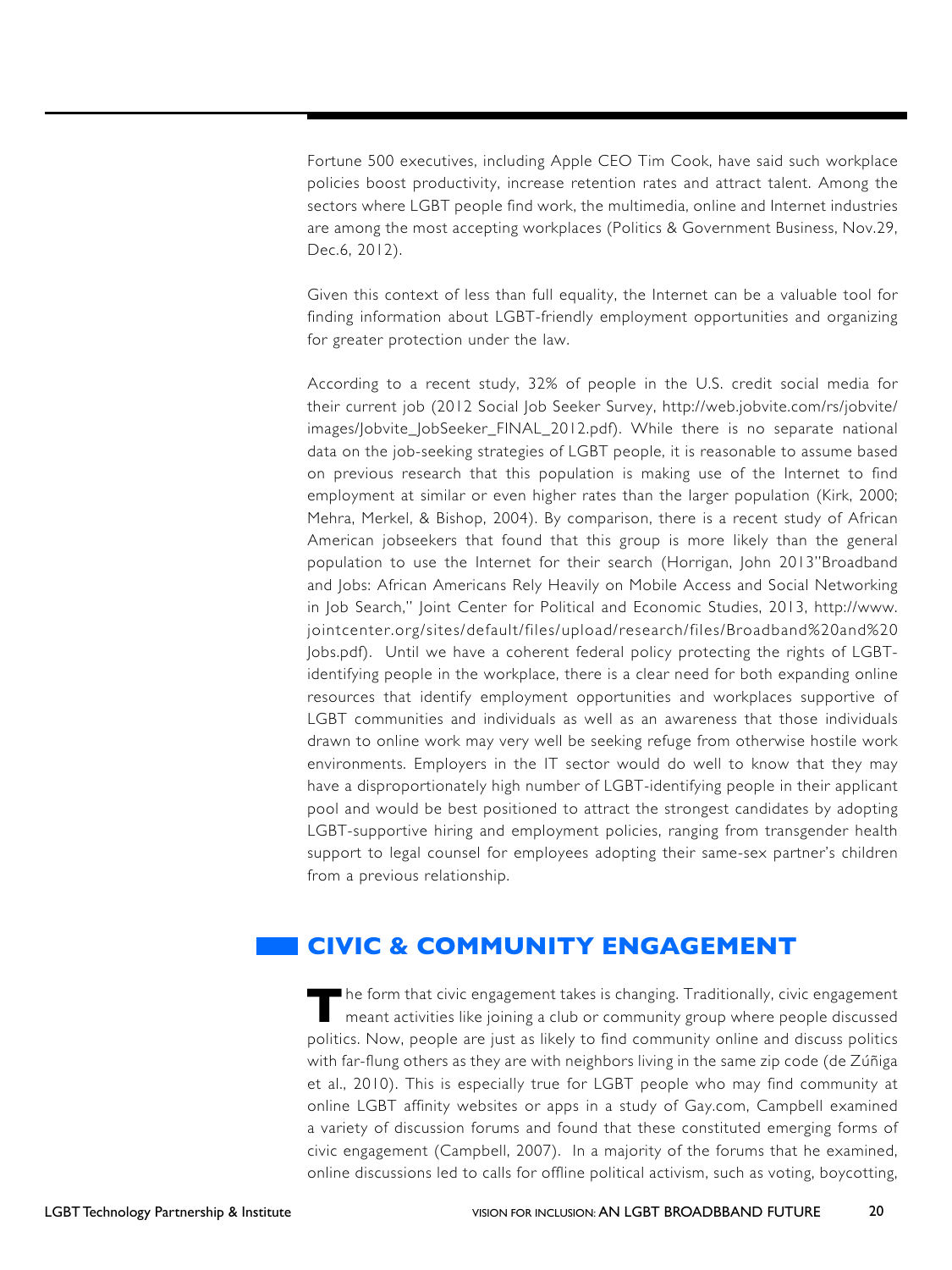Fortune 500 executives, including Apple CEO Tim Cook, have said such workplace policies boost productivity, increase retention rates and attract talent. Among the sectors where LGBT people find work, the multimedia, online and Internet industries are among the most accepting workplaces (Politics & Government Business, Nov.29, Dec.6, 2012).

Given this context of less than full equality, the Internet can be a valuable tool for finding information about LGBT-friendly employment opportunities and organizing for greater protection under the law.

According to a recent study, 32% of people in the U.S. credit social media for their current job (2012 Social Job Seeker Survey, http://web.jobvite.com/rs/jobvite/ images/Jobvite\_JobSeeker\_FINAL\_2012.pdf). While there is no separate national data on the job-seeking strategies of LGBT people, it is reasonable to assume based on previous research that this population is making use of the Internet to find employment at similar or even higher rates than the larger population (Kirk, 2000; Mehra, Merkel, & Bishop, 2004). By comparison, there is a recent study of African American jobseekers that found that this group is more likely than the general population to use the Internet for their search (Horrigan, John 2013"Broadband and Jobs: African Americans Rely Heavily on Mobile Access and Social Networking in Job Search," Joint Center for Political and Economic Studies, 2013, http://www. jointcenter.org/sites/default/files/upload/research/files/Broadband%20and%20 Jobs.pdf). Until we have a coherent federal policy protecting the rights of LGBTidentifying people in the workplace, there is a clear need for both expanding online resources that identify employment opportunities and workplaces supportive of LGBT communities and individuals as well as an awareness that those individuals drawn to online work may very well be seeking refuge from otherwise hostile work environments. Employers in the IT sector would do well to know that they may have a disproportionately high number of LGBT-identifying people in their applicant pool and would be best positioned to attract the strongest candidates by adopting LGBT-supportive hiring and employment policies, ranging from transgender health support to legal counsel for employees adopting their same-sex partner's children from a previous relationship.

## **CIVIC & COMMUNITY ENGAGEMENT**

**T**he form that civic engagement takes is changing. Traditionally, civic engagement meant activities like joining a club or community group where people discussed politics. Now, people are just as likely to find community online and discuss politics with far-flung others as they are with neighbors living in the same zip code (de Zúñiga et al., 2010). This is especially true for LGBT people who may find community at online LGBT affinity websites or apps in a study of Gay.com, Campbell examined a variety of discussion forums and found that these constituted emerging forms of civic engagement (Campbell, 2007). In a majority of the forums that he examined, online discussions led to calls for offline political activism, such as voting, boycotting,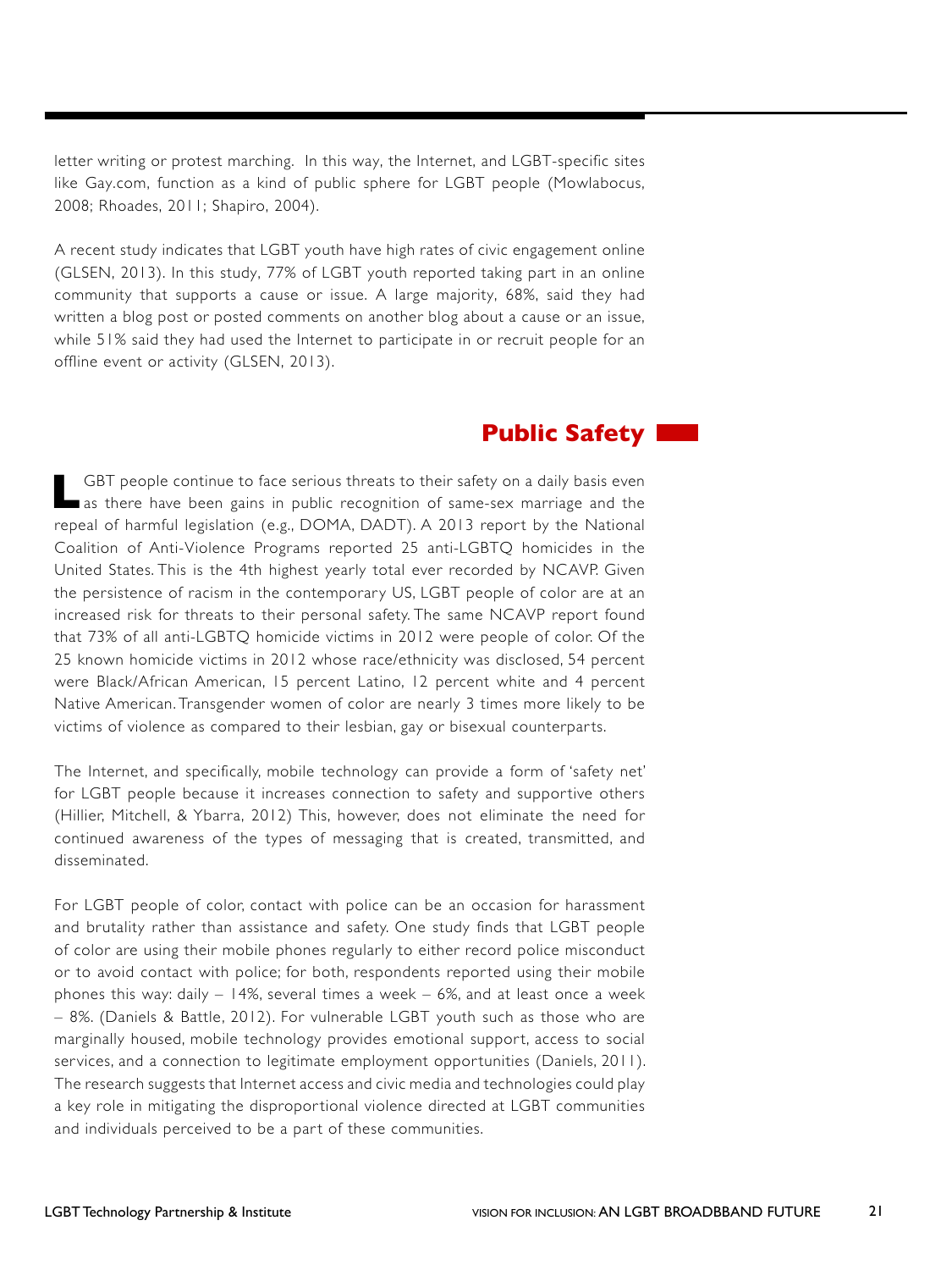letter writing or protest marching. In this way, the Internet, and LGBT-specific sites like Gay.com, function as a kind of public sphere for LGBT people (Mowlabocus, 2008; Rhoades, 2011; Shapiro, 2004).

A recent study indicates that LGBT youth have high rates of civic engagement online (GLSEN, 2013). In this study, 77% of LGBT youth reported taking part in an online community that supports a cause or issue. A large majority, 68%, said they had written a blog post or posted comments on another blog about a cause or an issue, while 51% said they had used the Internet to participate in or recruit people for an offline event or activity (GLSEN, 2013).

## **Public Safety**

**LACCET** people continue to face serious threats to their safety on a daily basis even<br>as there have been gains in public recognition of same-sex marriage and the repeal of harmful legislation (e.g., DOMA, DADT). A 2013 report by the National Coalition of Anti-Violence Programs reported 25 anti-LGBTQ homicides in the United States. This is the 4th highest yearly total ever recorded by NCAVP. Given the persistence of racism in the contemporary US, LGBT people of color are at an increased risk for threats to their personal safety. The same NCAVP report found that 73% of all anti-LGBTQ homicide victims in 2012 were people of color. Of the 25 known homicide victims in 2012 whose race/ethnicity was disclosed, 54 percent were Black/African American, 15 percent Latino, 12 percent white and 4 percent Native American. Transgender women of color are nearly 3 times more likely to be victims of violence as compared to their lesbian, gay or bisexual counterparts.

The Internet, and specifically, mobile technology can provide a form of 'safety net' for LGBT people because it increases connection to safety and supportive others (Hillier, Mitchell, & Ybarra, 2012) This, however, does not eliminate the need for continued awareness of the types of messaging that is created, transmitted, and disseminated.

For LGBT people of color, contact with police can be an occasion for harassment and brutality rather than assistance and safety. One study finds that LGBT people of color are using their mobile phones regularly to either record police misconduct or to avoid contact with police; for both, respondents reported using their mobile phones this way: daily – 14%, several times a week – 6%, and at least once a week – 8%. (Daniels & Battle, 2012). For vulnerable LGBT youth such as those who are marginally housed, mobile technology provides emotional support, access to social services, and a connection to legitimate employment opportunities (Daniels, 2011). The research suggests that Internet access and civic media and technologies could play a key role in mitigating the disproportional violence directed at LGBT communities and individuals perceived to be a part of these communities.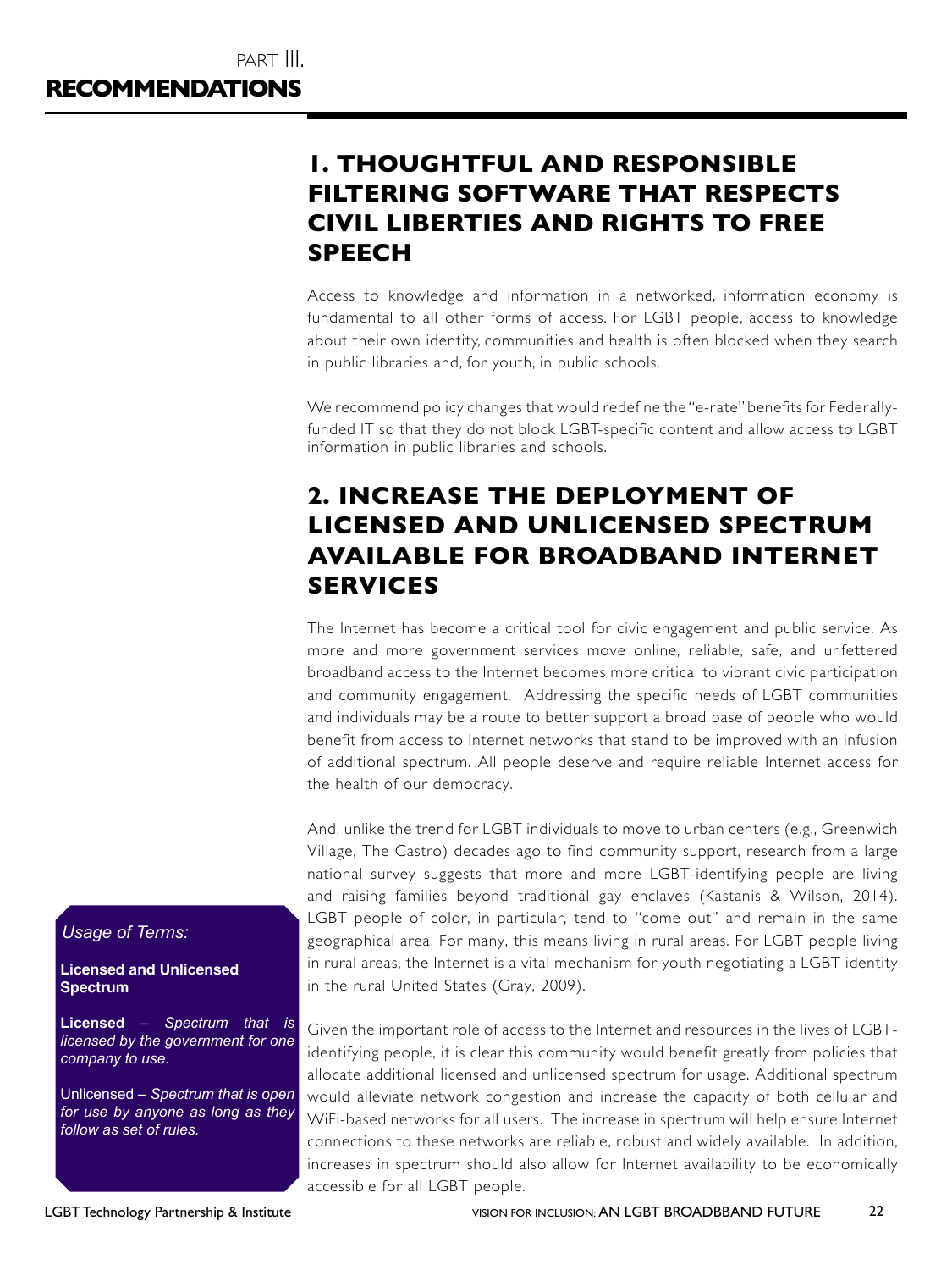## **1. THOUGHTFUL AND RESPONSIBLE FILTERING SOFTWARE THAT RESPECTS CIVIL LIBERTIES AND RIGHTS TO FREE SPEECH**

Access to knowledge and information in a networked, information economy is fundamental to all other forms of access. For LGBT people, access to knowledge about their own identity, communities and health is often blocked when they search in public libraries and, for youth, in public schools.

We recommend policy changes that would redefine the "e-rate" benefits for Federallyfunded IT so that they do not block LGBT-specific content and allow access to LGBT information in public libraries and schools.

## **2. INCREASE THE DEPLOYMENT OF LICENSED AND UNLICENSED SPECTRUM AVAILABLE FOR BROADBAND INTERNET SERVICES**

The Internet has become a critical tool for civic engagement and public service. As more and more government services move online, reliable, safe, and unfettered broadband access to the Internet becomes more critical to vibrant civic participation and community engagement. Addressing the specific needs of LGBT communities and individuals may be a route to better support a broad base of people who would benefit from access to Internet networks that stand to be improved with an infusion of additional spectrum. All people deserve and require reliable Internet access for the health of our democracy.

And, unlike the trend for LGBT individuals to move to urban centers (e.g., Greenwich Village, The Castro) decades ago to find community support, research from a large national survey suggests that more and more LGBT-identifying people are living and raising families beyond traditional gay enclaves (Kastanis & Wilson, 2014). LGBT people of color, in particular, tend to "come out" and remain in the same geographical area. For many, this means living in rural areas. For LGBT people living in rural areas, the Internet is a vital mechanism for youth negotiating a LGBT identity in the rural United States (Gray, 2009).

Given the important role of access to the Internet and resources in the lives of LGBTidentifying people, it is clear this community would benefit greatly from policies that allocate additional licensed and unlicensed spectrum for usage. Additional spectrum would alleviate network congestion and increase the capacity of both cellular and WiFi-based networks for all users. The increase in spectrum will help ensure Internet connections to these networks are reliable, robust and widely available. In addition, increases in spectrum should also allow for Internet availability to be economically accessible for all LGBT people.

#### *Usage of Terms:*

**Licensed and Unlicensed Spectrum**

**Licensed** – *Spectrum that is licensed by the government for one company to use.*

Unlicensed – *Spectrum that is open for use by anyone as long as they follow as set of rules.*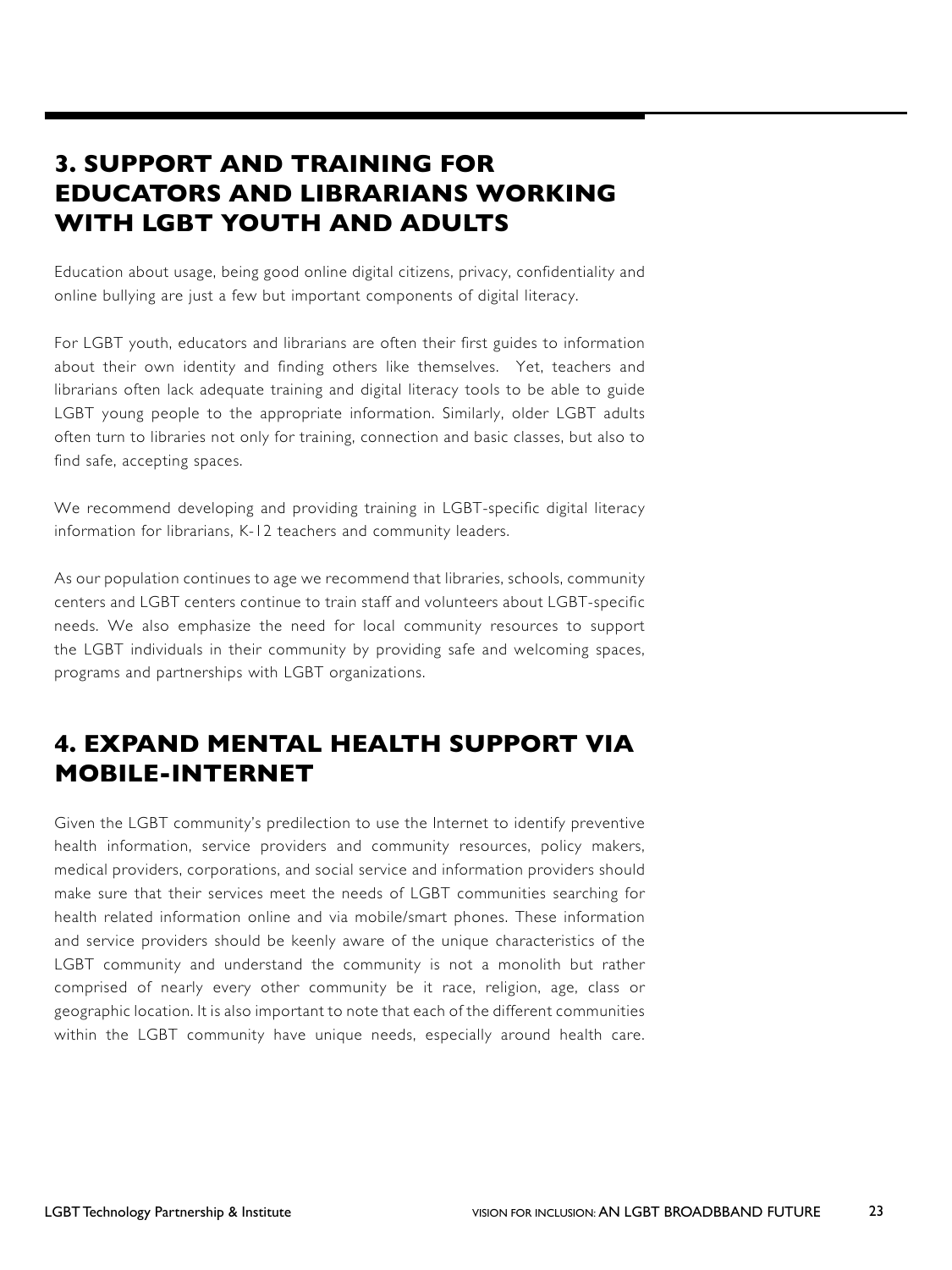## **3. SUPPORT AND TRAINING FOR EDUCATORS AND LIBRARIANS WORKING WITH LGBT YOUTH AND ADULTS**

Education about usage, being good online digital citizens, privacy, confidentiality and online bullying are just a few but important components of digital literacy.

For LGBT youth, educators and librarians are often their first guides to information about their own identity and finding others like themselves. Yet, teachers and librarians often lack adequate training and digital literacy tools to be able to guide LGBT young people to the appropriate information. Similarly, older LGBT adults often turn to libraries not only for training, connection and basic classes, but also to find safe, accepting spaces.

We recommend developing and providing training in LGBT-specific digital literacy information for librarians, K-12 teachers and community leaders.

As our population continues to age we recommend that libraries, schools, community centers and LGBT centers continue to train staff and volunteers about LGBT-specific needs. We also emphasize the need for local community resources to support the LGBT individuals in their community by providing safe and welcoming spaces, programs and partnerships with LGBT organizations.

## **4. EXPAND MENTAL HEALTH SUPPORT VIA MOBILE-INTERNET**

Given the LGBT community's predilection to use the Internet to identify preventive health information, service providers and community resources, policy makers, medical providers, corporations, and social service and information providers should make sure that their services meet the needs of LGBT communities searching for health related information online and via mobile/smart phones. These information and service providers should be keenly aware of the unique characteristics of the LGBT community and understand the community is not a monolith but rather comprised of nearly every other community be it race, religion, age, class or geographic location. It is also important to note that each of the different communities within the LGBT community have unique needs, especially around health care.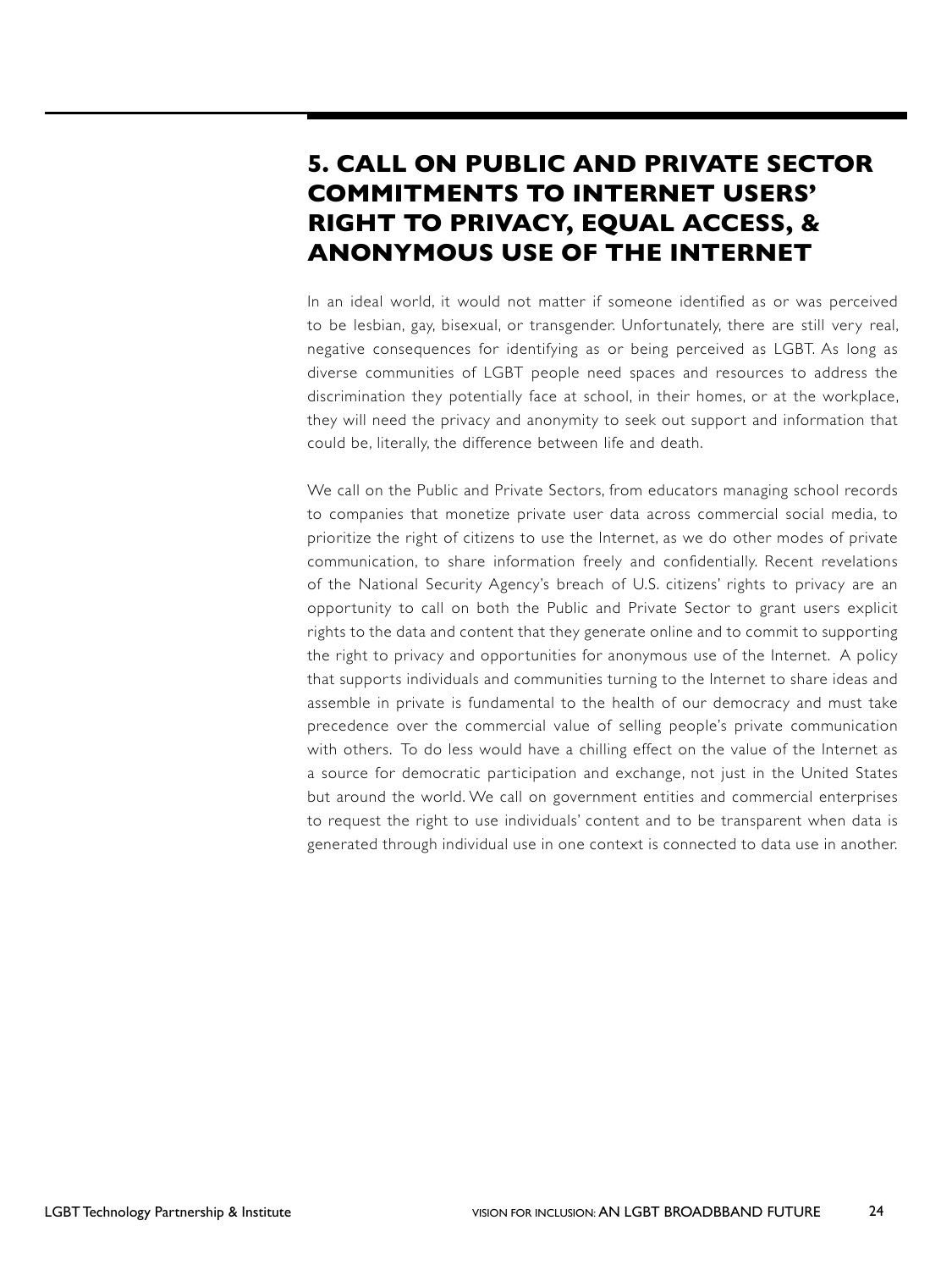## **5. CALL ON PUBLIC AND PRIVATE SECTOR COMMITMENTS TO INTERNET USERS' RIGHT TO PRIVACY, EQUAL ACCESS, & ANONYMOUS USE OF THE INTERNET**

In an ideal world, it would not matter if someone identified as or was perceived to be lesbian, gay, bisexual, or transgender. Unfortunately, there are still very real, negative consequences for identifying as or being perceived as LGBT. As long as diverse communities of LGBT people need spaces and resources to address the discrimination they potentially face at school, in their homes, or at the workplace, they will need the privacy and anonymity to seek out support and information that could be, literally, the difference between life and death.

We call on the Public and Private Sectors, from educators managing school records to companies that monetize private user data across commercial social media, to prioritize the right of citizens to use the Internet, as we do other modes of private communication, to share information freely and confidentially. Recent revelations of the National Security Agency's breach of U.S. citizens' rights to privacy are an opportunity to call on both the Public and Private Sector to grant users explicit rights to the data and content that they generate online and to commit to supporting the right to privacy and opportunities for anonymous use of the Internet. A policy that supports individuals and communities turning to the Internet to share ideas and assemble in private is fundamental to the health of our democracy and must take precedence over the commercial value of selling people's private communication with others. To do less would have a chilling effect on the value of the Internet as a source for democratic participation and exchange, not just in the United States but around the world. We call on government entities and commercial enterprises to request the right to use individuals' content and to be transparent when data is generated through individual use in one context is connected to data use in another.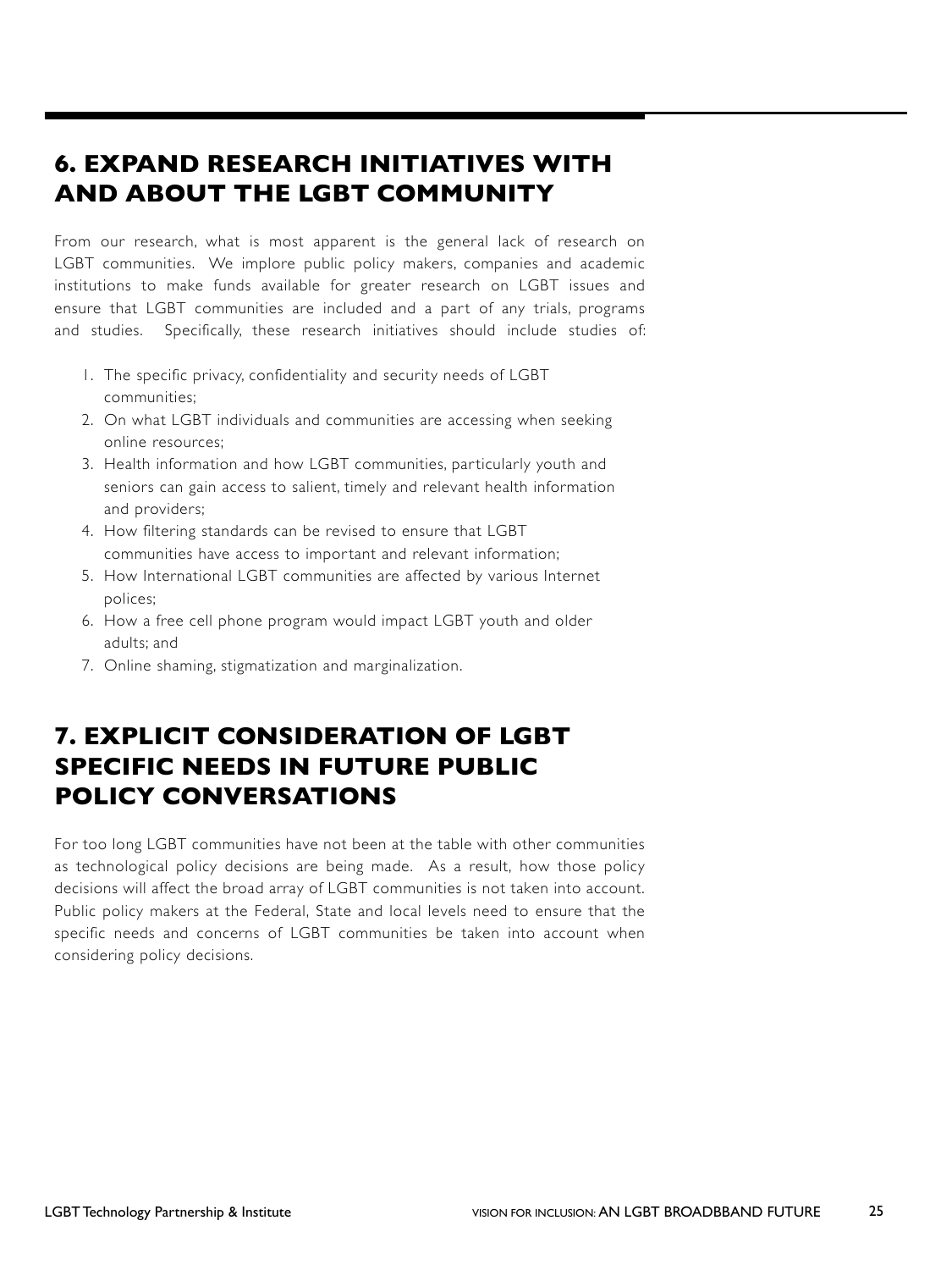## **6. EXPAND RESEARCH INITIATIVES WITH AND ABOUT THE LGBT COMMUNITY**

From our research, what is most apparent is the general lack of research on LGBT communities. We implore public policy makers, companies and academic institutions to make funds available for greater research on LGBT issues and ensure that LGBT communities are included and a part of any trials, programs and studies. Specifically, these research initiatives should include studies of:

- 1. The specific privacy, confidentiality and security needs of LGBT communities;
- 2. On what LGBT individuals and communities are accessing when seeking online resources;
- 3. Health information and how LGBT communities, particularly youth and seniors can gain access to salient, timely and relevant health information and providers;
- 4. How filtering standards can be revised to ensure that LGBT communities have access to important and relevant information;
- 5. How International LGBT communities are affected by various Internet polices;
- 6. How a free cell phone program would impact LGBT youth and older adults; and
- 7. Online shaming, stigmatization and marginalization.

## **7. EXPLICIT CONSIDERATION OF LGBT SPECIFIC NEEDS IN FUTURE PUBLIC POLICY CONVERSATIONS**

For too long LGBT communities have not been at the table with other communities as technological policy decisions are being made. As a result, how those policy decisions will affect the broad array of LGBT communities is not taken into account. Public policy makers at the Federal, State and local levels need to ensure that the specific needs and concerns of LGBT communities be taken into account when considering policy decisions.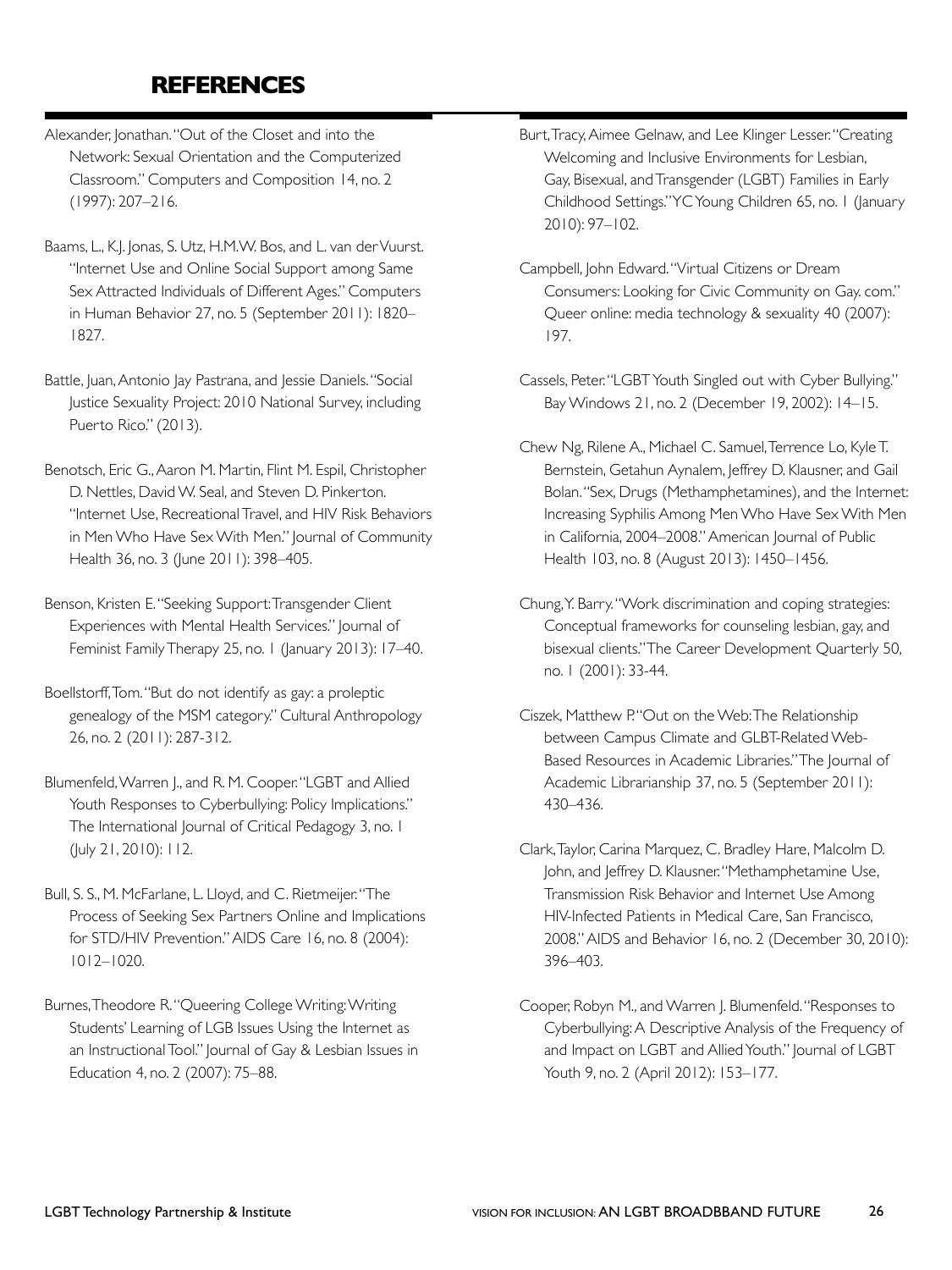## **REFERENCES**

- Alexander, Jonathan. "Out of the Closet and into the Network: Sexual Orientation and the Computerized Classroom." Computers and Composition 14, no. 2 (1997): 207–216.
- Baams, L., K.J. Jonas, S. Utz, H.M.W. Bos, and L. van der Vuurst. "Internet Use and Online Social Support among Same Sex Attracted Individuals of Different Ages." Computers in Human Behavior 27, no. 5 (September 2011): 1820– 1827.
- Battle, Juan, Antonio Jay Pastrana, and Jessie Daniels. "Social Justice Sexuality Project: 2010 National Survey, including Puerto Rico." (2013).
- Benotsch, Eric G., Aaron M. Martin, Flint M. Espil, Christopher D. Nettles, David W. Seal, and Steven D. Pinkerton. "Internet Use, Recreational Travel, and HIV Risk Behaviors in Men Who Have Sex With Men." Journal of Community Health 36, no. 3 (June 2011): 398–405.
- Benson, Kristen E. "Seeking Support: Transgender Client Experiences with Mental Health Services." Journal of Feminist Family Therapy 25, no. 1 (January 2013): 17–40.
- Boellstorff, Tom. "But do not identify as gay: a proleptic genealogy of the MSM category." Cultural Anthropology 26, no. 2 (2011): 287-312.
- Blumenfeld, Warren J., and R. M. Cooper. "LGBT and Allied Youth Responses to Cyberbullying: Policy Implications." The International Journal of Critical Pedagogy 3, no. 1 (July 21, 2010): 112.
- Bull, S. S., M. McFarlane, L. Lloyd, and C. Rietmeijer. "The Process of Seeking Sex Partners Online and Implications for STD/HIV Prevention." AIDS Care 16, no. 8 (2004): 1012–1020.
- Burnes, Theodore R. "Queering College Writing: Writing Students' Learning of LGB Issues Using the Internet as an Instructional Tool." Journal of Gay & Lesbian Issues in Education 4, no. 2 (2007): 75–88.
- Burt, Tracy, Aimee Gelnaw, and Lee Klinger Lesser. "Creating Welcoming and Inclusive Environments for Lesbian, Gay, Bisexual, and Transgender (LGBT) Families in Early Childhood Settings." YC Young Children 65, no. 1 (January 2010): 97–102.
- Campbell, John Edward. "Virtual Citizens or Dream Consumers: Looking for Civic Community on Gay. com." Queer online: media technology & sexuality 40 (2007): 197.
- Cassels, Peter. "LGBT Youth Singled out with Cyber Bullying." Bay Windows 21, no. 2 (December 19, 2002): 14–15.
- Chew Ng, Rilene A., Michael C. Samuel, Terrence Lo, Kyle T. Bernstein, Getahun Aynalem, Jeffrey D. Klausner, and Gail Bolan. "Sex, Drugs (Methamphetamines), and the Internet: Increasing Syphilis Among Men Who Have Sex With Men in California, 2004–2008." American Journal of Public Health 103, no. 8 (August 2013): 1450–1456.
- Chung, Y. Barry. "Work discrimination and coping strategies: Conceptual frameworks for counseling lesbian, gay, and bisexual clients." The Career Development Quarterly 50, no. 1 (2001): 33-44.
- Ciszek, Matthew P. "Out on the Web: The Relationship between Campus Climate and GLBT-Related Web-Based Resources in Academic Libraries." The Journal of Academic Librarianship 37, no. 5 (September 2011): 430–436.
- Clark, Taylor, Carina Marquez, C. Bradley Hare, Malcolm D. John, and Jeffrey D. Klausner. "Methamphetamine Use, Transmission Risk Behavior and Internet Use Among HIV-Infected Patients in Medical Care, San Francisco, 2008." AIDS and Behavior 16, no. 2 (December 30, 2010): 396–403.
- Cooper, Robyn M., and Warren J. Blumenfeld. "Responses to Cyberbullying: A Descriptive Analysis of the Frequency of and Impact on LGBT and Allied Youth." Journal of LGBT Youth 9, no. 2 (April 2012): 153–177.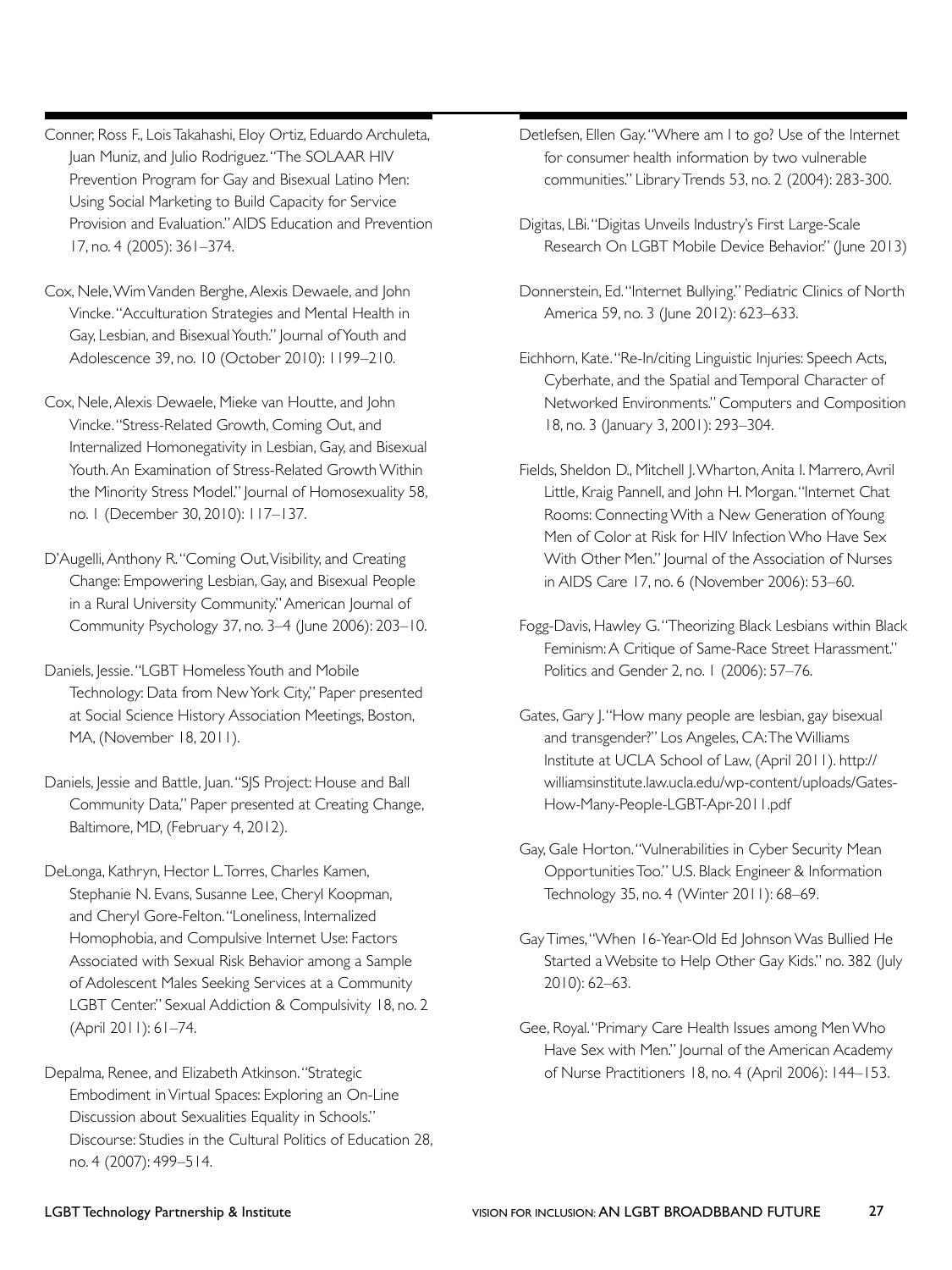Conner, Ross F., Lois Takahashi, Eloy Ortiz, Eduardo Archuleta, Juan Muniz, and Julio Rodriguez. "The SOLAAR HIV Prevention Program for Gay and Bisexual Latino Men: Using Social Marketing to Build Capacity for Service Provision and Evaluation." AIDS Education and Prevention 17, no. 4 (2005): 361–374.

Cox, Nele, Wim Vanden Berghe, Alexis Dewaele, and John Vincke. "Acculturation Strategies and Mental Health in Gay, Lesbian, and Bisexual Youth." Journal of Youth and Adolescence 39, no. 10 (October 2010): 1199–210.

Cox, Nele, Alexis Dewaele, Mieke van Houtte, and John Vincke. "Stress-Related Growth, Coming Out, and Internalized Homonegativity in Lesbian, Gay, and Bisexual Youth. An Examination of Stress-Related Growth Within the Minority Stress Model." Journal of Homosexuality 58, no. 1 (December 30, 2010): 117–137.

D'Augelli, Anthony R. "Coming Out, Visibility, and Creating Change: Empowering Lesbian, Gay, and Bisexual People in a Rural University Community." American Journal of Community Psychology 37, no. 3–4 (June 2006): 203–10.

Daniels, Jessie. "LGBT Homeless Youth and Mobile Technology: Data from New York City," Paper presented at Social Science History Association Meetings, Boston, MA, (November 18, 2011).

Daniels, Jessie and Battle, Juan. "SJS Project: House and Ball Community Data," Paper presented at Creating Change, Baltimore, MD, (February 4, 2012).

DeLonga, Kathryn, Hector L. Torres, Charles Kamen, Stephanie N. Evans, Susanne Lee, Cheryl Koopman, and Cheryl Gore-Felton. "Loneliness, Internalized Homophobia, and Compulsive Internet Use: Factors Associated with Sexual Risk Behavior among a Sample of Adolescent Males Seeking Services at a Community LGBT Center." Sexual Addiction & Compulsivity 18, no. 2 (April 2011): 61–74.

Depalma, Renee, and Elizabeth Atkinson. "Strategic Embodiment in Virtual Spaces: Exploring an On-Line Discussion about Sexualities Equality in Schools." Discourse: Studies in the Cultural Politics of Education 28, no. 4 (2007): 499–514.

Detlefsen, Ellen Gay. "Where am I to go? Use of the Internet for consumer health information by two vulnerable communities." Library Trends 53, no. 2 (2004): 283-300.

- Digitas, LBi. "Digitas Unveils Industry's First Large-Scale Research On LGBT Mobile Device Behavior." (June 2013)
- Donnerstein, Ed. "Internet Bullying." Pediatric Clinics of North America 59, no. 3 (June 2012): 623–633.
- Eichhorn, Kate. "Re-In/citing Linguistic Injuries: Speech Acts, Cyberhate, and the Spatial and Temporal Character of Networked Environments." Computers and Composition 18, no. 3 (January 3, 2001): 293–304.
- Fields, Sheldon D., Mitchell J. Wharton, Anita I. Marrero, Avril Little, Kraig Pannell, and John H. Morgan. "Internet Chat Rooms: Connecting With a New Generation of Young Men of Color at Risk for HIV Infection Who Have Sex With Other Men." Journal of the Association of Nurses in AIDS Care 17, no. 6 (November 2006): 53–60.
- Fogg-Davis, Hawley G. "Theorizing Black Lesbians within Black Feminism: A Critique of Same-Race Street Harassment." Politics and Gender 2, no. 1 (2006): 57–76.
- Gates, Gary J. "How many people are lesbian, gay bisexual and transgender?" Los Angeles, CA: The Williams Institute at UCLA School of Law, (April 2011). http:// williamsinstitute.law.ucla.edu/wp-content/uploads/Gates-How-Many-People-LGBT-Apr-2011.pdf
- Gay, Gale Horton. "Vulnerabilities in Cyber Security Mean Opportunities Too." U.S. Black Engineer & Information Technology 35, no. 4 (Winter 2011): 68–69.
- Gay Times, "When 16-Year-Old Ed Johnson Was Bullied He Started a Website to Help Other Gay Kids." no. 382 (July 2010): 62–63.
- Gee, Royal. "Primary Care Health Issues among Men Who Have Sex with Men." Journal of the American Academy of Nurse Practitioners 18, no. 4 (April 2006): 144–153.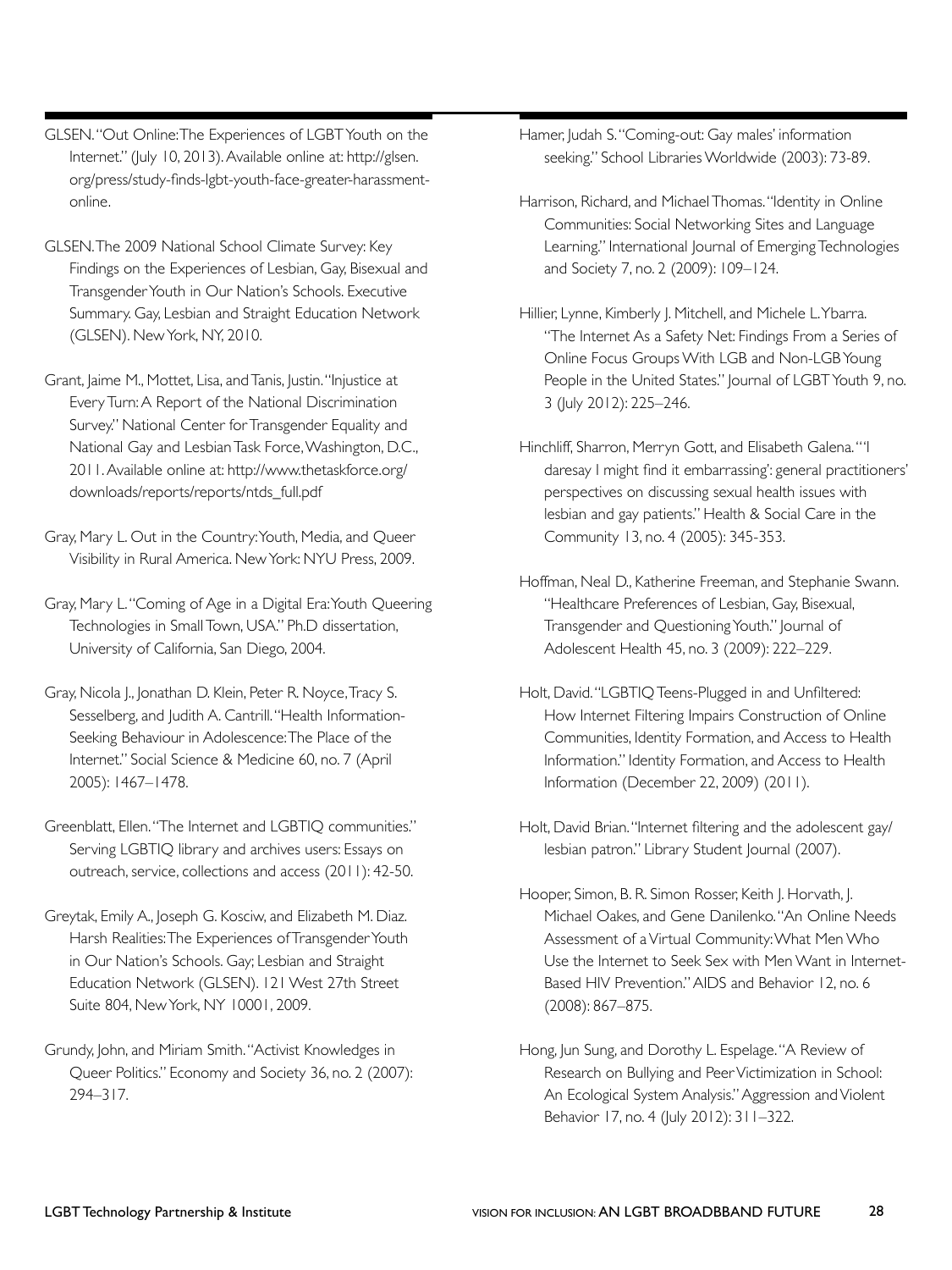- GLSEN. "Out Online: The Experiences of LGBT Youth on the Internet." (July 10, 2013). Available online at: http://glsen. org/press/study-finds-lgbt-youth-face-greater-harassmentonline.
- GLSEN. The 2009 National School Climate Survey: Key Findings on the Experiences of Lesbian, Gay, Bisexual and Transgender Youth in Our Nation's Schools. Executive Summary. Gay, Lesbian and Straight Education Network (GLSEN). New York, NY, 2010.
- Grant, Jaime M., Mottet, Lisa, and Tanis, Justin. "Injustice at Every Turn: A Report of the National Discrimination Survey." National Center for Transgender Equality and National Gay and Lesbian Task Force, Washington, D.C., 2011. Available online at: http://www.thetaskforce.org/ downloads/reports/reports/ntds\_full.pdf
- Gray, Mary L. Out in the Country: Youth, Media, and Queer Visibility in Rural America. New York: NYU Press, 2009.
- Gray, Mary L. "Coming of Age in a Digital Era: Youth Queering Technologies in Small Town, USA." Ph.D dissertation, University of California, San Diego, 2004.
- Gray, Nicola J., Jonathan D. Klein, Peter R. Noyce, Tracy S. Sesselberg, and Judith A. Cantrill. "Health Information-Seeking Behaviour in Adolescence: The Place of the Internet." Social Science & Medicine 60, no. 7 (April 2005): 1467–1478.
- Greenblatt, Ellen. "The Internet and LGBTIQ communities." Serving LGBTIQ library and archives users: Essays on outreach, service, collections and access (2011): 42-50.
- Greytak, Emily A., Joseph G. Kosciw, and Elizabeth M. Diaz. Harsh Realities: The Experiences of Transgender Youth in Our Nation's Schools. Gay; Lesbian and Straight Education Network (GLSEN). 121 West 27th Street Suite 804, New York, NY 10001, 2009.
- Grundy, John, and Miriam Smith. "Activist Knowledges in Queer Politics." Economy and Society 36, no. 2 (2007): 294–317.

Hamer, Judah S. "Coming-out: Gay males' information seeking." School Libraries Worldwide (2003): 73-89.

- Harrison, Richard, and Michael Thomas. "Identity in Online Communities: Social Networking Sites and Language Learning." International Journal of Emerging Technologies and Society 7, no. 2 (2009): 109–124.
- Hillier, Lynne, Kimberly J. Mitchell, and Michele L. Ybarra. "The Internet As a Safety Net: Findings From a Series of Online Focus Groups With LGB and Non-LGB Young People in the United States." Journal of LGBT Youth 9, no. 3 (July 2012): 225–246.
- Hinchliff, Sharron, Merryn Gott, and Elisabeth Galena. "'I daresay I might find it embarrassing': general practitioners' perspectives on discussing sexual health issues with lesbian and gay patients." Health & Social Care in the Community 13, no. 4 (2005): 345-353.
- Hoffman, Neal D., Katherine Freeman, and Stephanie Swann. "Healthcare Preferences of Lesbian, Gay, Bisexual, Transgender and Questioning Youth." Journal of Adolescent Health 45, no. 3 (2009): 222–229.
- Holt, David. "LGBTIQ Teens-Plugged in and Unfiltered: How Internet Filtering Impairs Construction of Online Communities, Identity Formation, and Access to Health Information." Identity Formation, and Access to Health Information (December 22, 2009) (2011).
- Holt, David Brian. "Internet filtering and the adolescent gay/ lesbian patron." Library Student Journal (2007).
- Hooper, Simon, B. R. Simon Rosser, Keith J. Horvath, J. Michael Oakes, and Gene Danilenko. "An Online Needs Assessment of a Virtual Community: What Men Who Use the Internet to Seek Sex with Men Want in Internet-Based HIV Prevention." AIDS and Behavior 12, no. 6 (2008): 867–875.
- Hong, Jun Sung, and Dorothy L. Espelage. "A Review of Research on Bullying and Peer Victimization in School: An Ecological System Analysis." Aggression and Violent Behavior 17, no. 4 (July 2012): 311–322.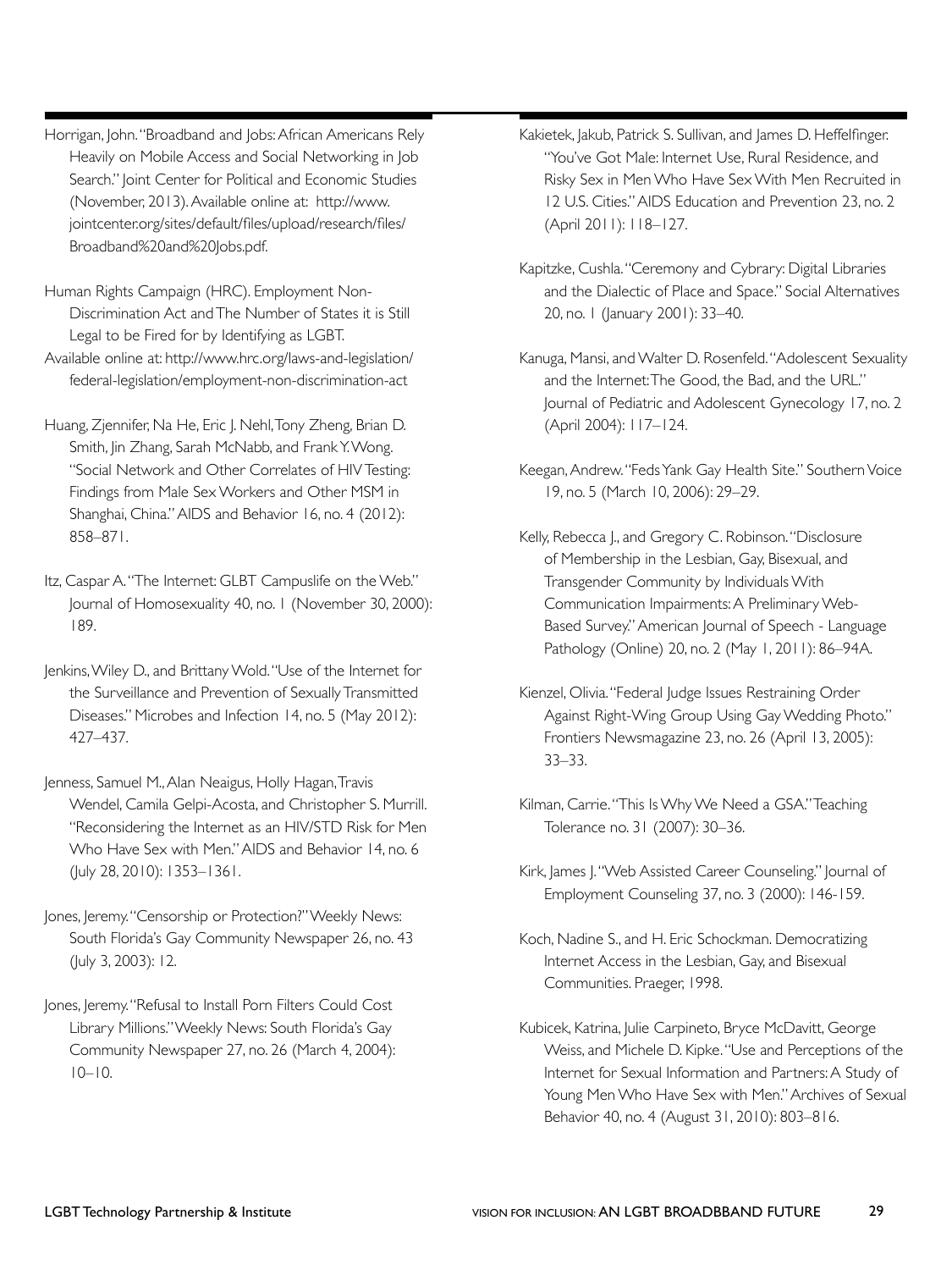- Horrigan, John. "Broadband and Jobs: African Americans Rely Heavily on Mobile Access and Social Networking in Job Search." Joint Center for Political and Economic Studies (November, 2013). Available online at: http://www. jointcenter.org/sites/default/files/upload/research/files/ Broadband%20and%20Jobs.pdf.
- Human Rights Campaign (HRC). Employment Non-Discrimination Act and The Number of States it is Still Legal to be Fired for by Identifying as LGBT.
- Available online at: http://www.hrc.org/laws-and-legislation/ federal-legislation/employment-non-discrimination-act
- Huang, Zjennifer, Na He, Eric J. Nehl, Tony Zheng, Brian D. Smith, Jin Zhang, Sarah McNabb, and Frank Y. Wong. "Social Network and Other Correlates of HIV Testing: Findings from Male Sex Workers and Other MSM in Shanghai, China." AIDS and Behavior 16, no. 4 (2012): 858–871.
- Itz, Caspar A. "The Internet: GLBT Campuslife on the Web." Journal of Homosexuality 40, no. 1 (November 30, 2000): 189.
- Jenkins, Wiley D., and Brittany Wold. "Use of the Internet for the Surveillance and Prevention of Sexually Transmitted Diseases." Microbes and Infection 14, no. 5 (May 2012): 427–437.
- Jenness, Samuel M., Alan Neaigus, Holly Hagan, Travis Wendel, Camila Gelpi-Acosta, and Christopher S. Murrill. "Reconsidering the Internet as an HIV/STD Risk for Men Who Have Sex with Men." AIDS and Behavior 14, no. 6 (July 28, 2010): 1353–1361.
- Jones, Jeremy. "Censorship or Protection?" Weekly News: South Florida's Gay Community Newspaper 26, no. 43 (July 3, 2003): 12.
- Jones, Jeremy. "Refusal to Install Porn Filters Could Cost Library Millions." Weekly News: South Florida's Gay Community Newspaper 27, no. 26 (March 4, 2004):  $10-10.$
- Kakietek, Jakub, Patrick S. Sullivan, and James D. Heffelfinger. "You've Got Male: Internet Use, Rural Residence, and Risky Sex in Men Who Have Sex With Men Recruited in 12 U.S. Cities." AIDS Education and Prevention 23, no. 2 (April 2011): 118–127.
- Kapitzke, Cushla. "Ceremony and Cybrary: Digital Libraries and the Dialectic of Place and Space." Social Alternatives 20, no. 1 (January 2001): 33–40.
- Kanuga, Mansi, and Walter D. Rosenfeld. "Adolescent Sexuality and the Internet: The Good, the Bad, and the URL." Journal of Pediatric and Adolescent Gynecology 17, no. 2 (April 2004): 117–124.
- Keegan, Andrew. "Feds Yank Gay Health Site." Southern Voice 19, no. 5 (March 10, 2006): 29–29.
- Kelly, Rebecca J., and Gregory C. Robinson. "Disclosure of Membership in the Lesbian, Gay, Bisexual, and Transgender Community by Individuals With Communication Impairments: A Preliminary Web-Based Survey." American Journal of Speech - Language Pathology (Online) 20, no. 2 (May 1, 2011): 86–94A.
- Kienzel, Olivia. "Federal Judge Issues Restraining Order Against Right-Wing Group Using Gay Wedding Photo." Frontiers Newsmagazine 23, no. 26 (April 13, 2005): 33–33.
- Kilman, Carrie. "This Is Why We Need a GSA." Teaching Tolerance no. 31 (2007): 30–36.
- Kirk, James J. "Web Assisted Career Counseling." Journal of Employment Counseling 37, no. 3 (2000): 146-159.
- Koch, Nadine S., and H. Eric Schockman. Democratizing Internet Access in the Lesbian, Gay, and Bisexual Communities. Praeger, 1998.
- Kubicek, Katrina, Julie Carpineto, Bryce McDavitt, George Weiss, and Michele D. Kipke. "Use and Perceptions of the Internet for Sexual Information and Partners: A Study of Young Men Who Have Sex with Men." Archives of Sexual Behavior 40, no. 4 (August 31, 2010): 803–816.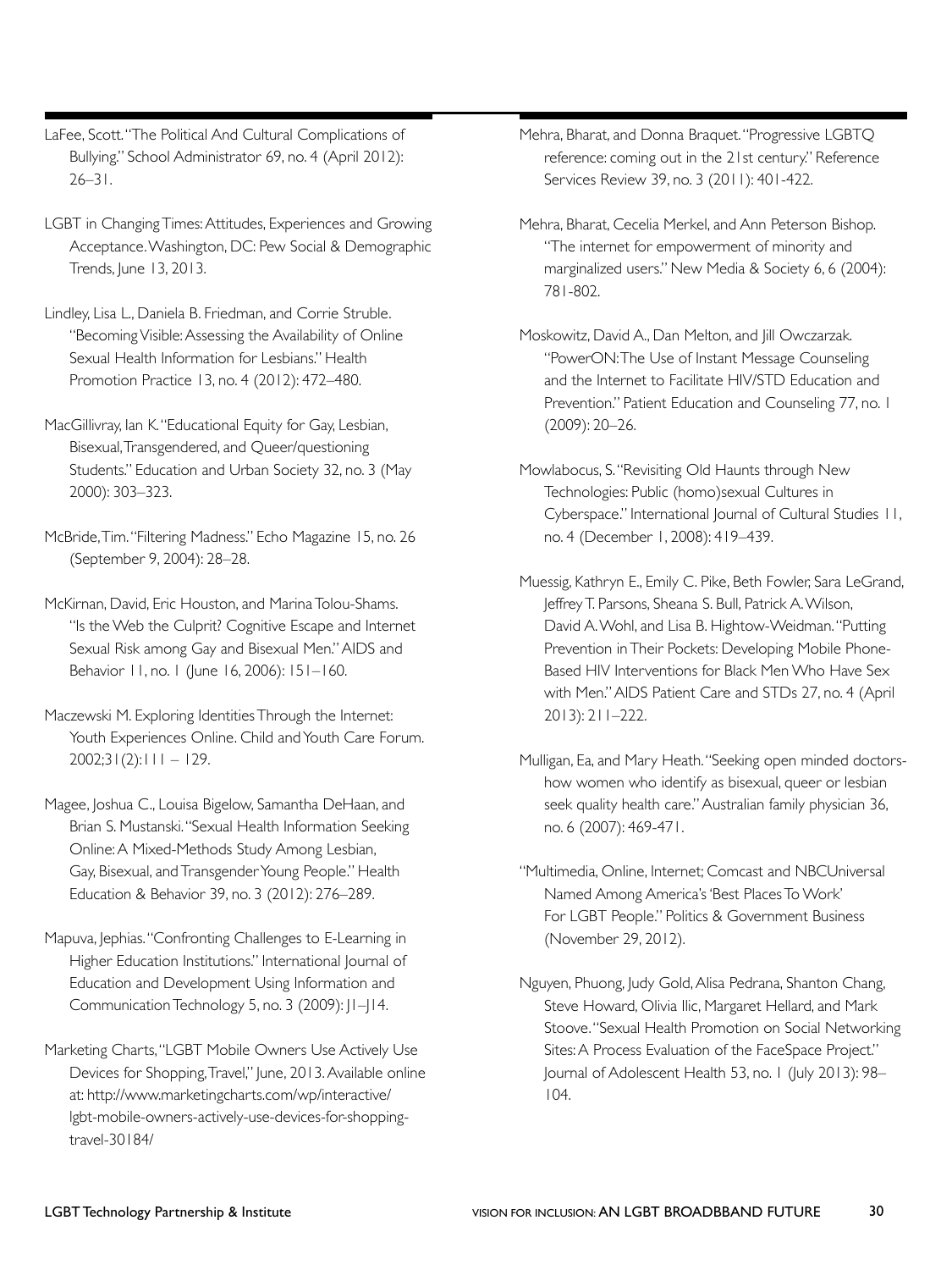LaFee, Scott. "The Political And Cultural Complications of Bullying." School Administrator 69, no. 4 (April 2012): 26–31.

- LGBT in Changing Times: Attitudes, Experiences and Growing Acceptance. Washington, DC: Pew Social & Demographic Trends, June 13, 2013.
- Lindley, Lisa L., Daniela B. Friedman, and Corrie Struble. "Becoming Visible: Assessing the Availability of Online Sexual Health Information for Lesbians." Health Promotion Practice 13, no. 4 (2012): 472–480.
- MacGillivray, Ian K. "Educational Equity for Gay, Lesbian, Bisexual, Transgendered, and Queer/questioning Students." Education and Urban Society 32, no. 3 (May 2000): 303–323.
- McBride, Tim. "Filtering Madness." Echo Magazine 15, no. 26 (September 9, 2004): 28–28.
- McKirnan, David, Eric Houston, and Marina Tolou-Shams. "Is the Web the Culprit? Cognitive Escape and Internet Sexual Risk among Gay and Bisexual Men." AIDS and Behavior 11, no. 1 (June 16, 2006): 151–160.
- Maczewski M. Exploring Identities Through the Internet: Youth Experiences Online. Child and Youth Care Forum.  $2002;31(2):111 - 129.$
- Magee, Joshua C., Louisa Bigelow, Samantha DeHaan, and Brian S. Mustanski. "Sexual Health Information Seeking Online: A Mixed-Methods Study Among Lesbian, Gay, Bisexual, and Transgender Young People." Health Education & Behavior 39, no. 3 (2012): 276–289.
- Mapuva, Jephias. "Confronting Challenges to E-Learning in Higher Education Institutions." International Journal of Education and Development Using Information and Communication Technology 5, no. 3 (2009): J1–J14.
- Marketing Charts, "LGBT Mobile Owners Use Actively Use Devices for Shopping, Travel," June, 2013. Available online at: http://www.marketingcharts.com/wp/interactive/ lgbt-mobile-owners-actively-use-devices-for-shoppingtravel-30184/
- Mehra, Bharat, and Donna Braquet. "Progressive LGBTQ reference: coming out in the 21st century." Reference Services Review 39, no. 3 (2011): 401-422.
- Mehra, Bharat, Cecelia Merkel, and Ann Peterson Bishop. "The internet for empowerment of minority and marginalized users." New Media & Society 6, 6 (2004): 781-802.
- Moskowitz, David A., Dan Melton, and Jill Owczarzak. "PowerON: The Use of Instant Message Counseling and the Internet to Facilitate HIV/STD Education and Prevention." Patient Education and Counseling 77, no. 1 (2009): 20–26.
- Mowlabocus, S. "Revisiting Old Haunts through New Technologies: Public (homo)sexual Cultures in Cyberspace." International Journal of Cultural Studies 11, no. 4 (December 1, 2008): 419–439.
- Muessig, Kathryn E., Emily C. Pike, Beth Fowler, Sara LeGrand, Jeffrey T. Parsons, Sheana S. Bull, Patrick A. Wilson, David A. Wohl, and Lisa B. Hightow-Weidman. "Putting Prevention in Their Pockets: Developing Mobile Phone-Based HIV Interventions for Black Men Who Have Sex with Men." AIDS Patient Care and STDs 27, no. 4 (April 2013): 211–222.
- Mulligan, Ea, and Mary Heath. "Seeking open minded doctorshow women who identify as bisexual, queer or lesbian seek quality health care." Australian family physician 36, no. 6 (2007): 469-471.
- "Multimedia, Online, Internet; Comcast and NBCUniversal Named Among America's 'Best Places To Work' For LGBT People." Politics & Government Business (November 29, 2012).
- Nguyen, Phuong, Judy Gold, Alisa Pedrana, Shanton Chang, Steve Howard, Olivia Ilic, Margaret Hellard, and Mark Stoove. "Sexual Health Promotion on Social Networking Sites: A Process Evaluation of the FaceSpace Project." Journal of Adolescent Health 53, no. 1 (July 2013): 98– 104.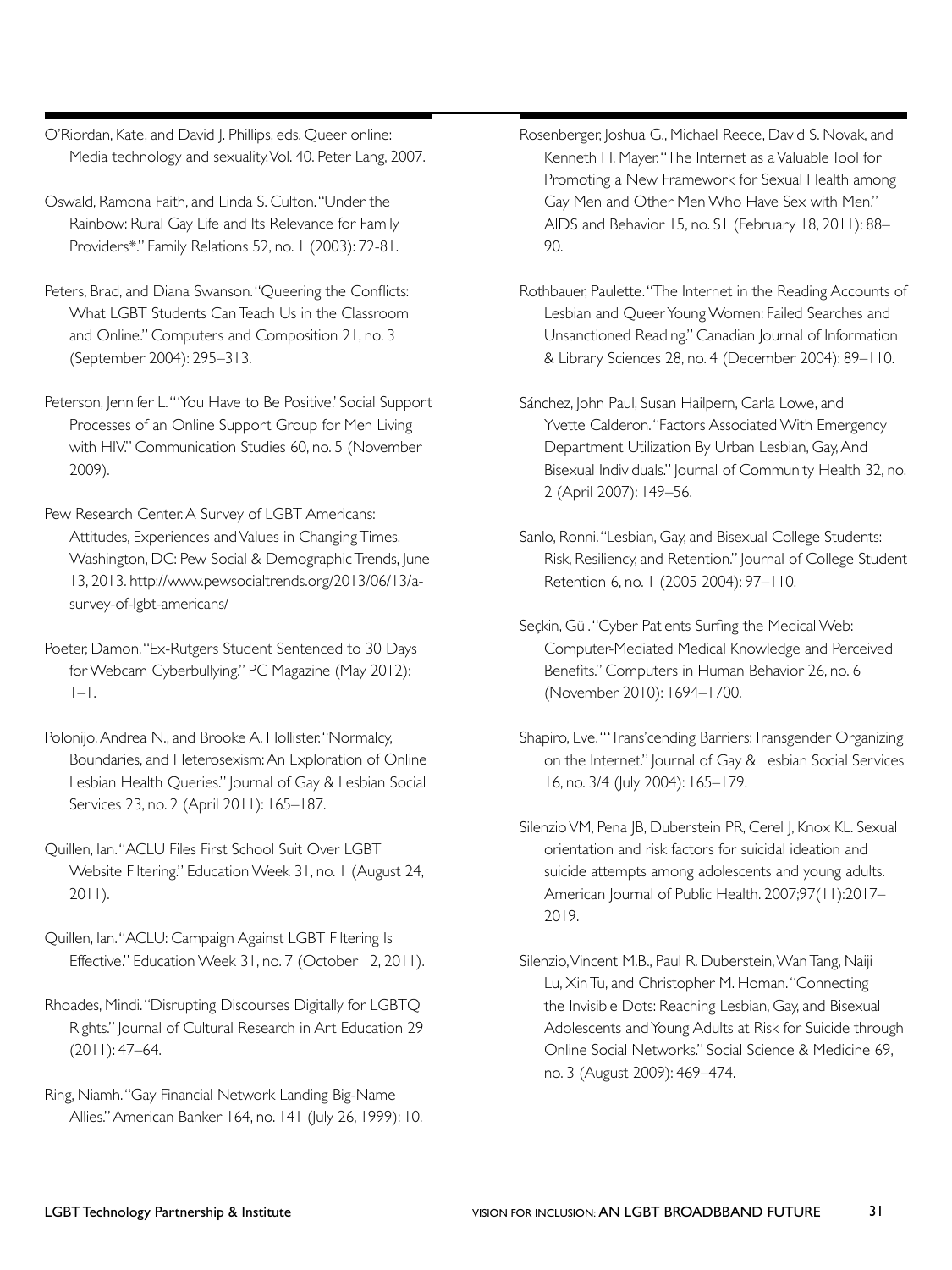O'Riordan, Kate, and David J. Phillips, eds. Queer online: Media technology and sexuality. Vol. 40. Peter Lang, 2007.

Oswald, Ramona Faith, and Linda S. Culton. "Under the Rainbow: Rural Gay Life and Its Relevance for Family Providers\*." Family Relations 52, no. 1 (2003): 72-81.

Peters, Brad, and Diana Swanson. "Queering the Conflicts: What LGBT Students Can Teach Us in the Classroom and Online." Computers and Composition 21, no. 3 (September 2004): 295–313.

Peterson, Jennifer L. "You Have to Be Positive.' Social Support Processes of an Online Support Group for Men Living with HIV." Communication Studies 60, no. 5 (November 2009).

Pew Research Center. A Survey of LGBT Americans: Attitudes, Experiences and Values in Changing Times. Washington, DC: Pew Social & Demographic Trends, June 13, 2013. http://www.pewsocialtrends.org/2013/06/13/asurvey-of-lgbt-americans/

Poeter, Damon. "Ex-Rutgers Student Sentenced to 30 Days for Webcam Cyberbullying." PC Magazine (May 2012):  $|-|$ .

Polonijo, Andrea N., and Brooke A. Hollister. "Normalcy, Boundaries, and Heterosexism: An Exploration of Online Lesbian Health Queries." Journal of Gay & Lesbian Social Services 23, no. 2 (April 2011): 165–187.

Quillen, Ian. "ACLU Files First School Suit Over LGBT Website Filtering." Education Week 31, no. 1 (August 24, 2011).

Quillen, Ian. "ACLU: Campaign Against LGBT Filtering Is Effective." Education Week 31, no. 7 (October 12, 2011).

Rhoades, Mindi. "Disrupting Discourses Digitally for LGBTQ Rights." Journal of Cultural Research in Art Education 29 (2011): 47–64.

Ring, Niamh. "Gay Financial Network Landing Big-Name Allies." American Banker 164, no. 141 (July 26, 1999): 10. Rosenberger, Joshua G., Michael Reece, David S. Novak, and Kenneth H. Mayer. "The Internet as a Valuable Tool for Promoting a New Framework for Sexual Health among Gay Men and Other Men Who Have Sex with Men." AIDS and Behavior 15, no. S1 (February 18, 2011): 88– 90.

Rothbauer, Paulette. "The Internet in the Reading Accounts of Lesbian and Queer Young Women: Failed Searches and Unsanctioned Reading." Canadian Journal of Information & Library Sciences 28, no. 4 (December 2004): 89–110.

Sánchez, John Paul, Susan Hailpern, Carla Lowe, and Yvette Calderon. "Factors Associated With Emergency Department Utilization By Urban Lesbian, Gay, And Bisexual Individuals." Journal of Community Health 32, no. 2 (April 2007): 149–56.

Sanlo, Ronni. "Lesbian, Gay, and Bisexual College Students: Risk, Resiliency, and Retention." Journal of College Student Retention 6, no. 1 (2005 2004): 97–110.

Seçkin, Gül. "Cyber Patients Surfing the Medical Web: Computer-Mediated Medical Knowledge and Perceived Benefits." Computers in Human Behavior 26, no. 6 (November 2010): 1694–1700.

Shapiro, Eve. "'Trans'cending Barriers: Transgender Organizing on the Internet." Journal of Gay & Lesbian Social Services 16, no. 3/4 (July 2004): 165–179.

Silenzio VM, Pena | B, Duberstein PR, Cerel |, Knox KL. Sexual orientation and risk factors for suicidal ideation and suicide attempts among adolescents and young adults. American Journal of Public Health. 2007;97(11):2017– 2019.

Silenzio, Vincent M.B., Paul R. Duberstein, Wan Tang, Naiji Lu, Xin Tu, and Christopher M. Homan. "Connecting the Invisible Dots: Reaching Lesbian, Gay, and Bisexual Adolescents and Young Adults at Risk for Suicide through Online Social Networks." Social Science & Medicine 69, no. 3 (August 2009): 469–474.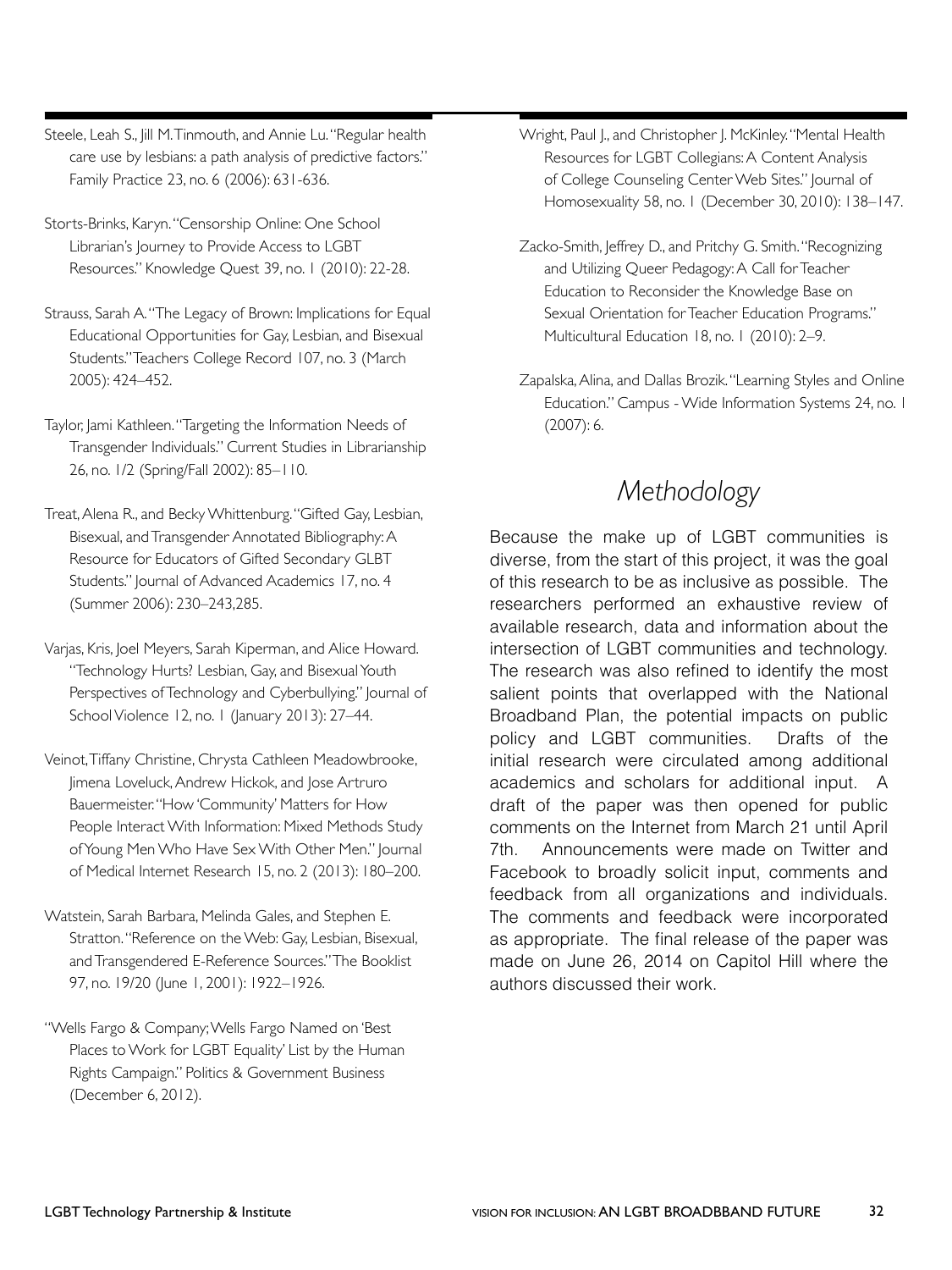Steele, Leah S., Jill M. Tinmouth, and Annie Lu. "Regular health care use by lesbians: a path analysis of predictive factors." Family Practice 23, no. 6 (2006): 631-636.

Storts-Brinks, Karyn. "Censorship Online: One School Librarian's Journey to Provide Access to LGBT Resources." Knowledge Quest 39, no. 1 (2010): 22-28.

- Strauss, Sarah A. "The Legacy of Brown: Implications for Equal Educational Opportunities for Gay, Lesbian, and Bisexual Students." Teachers College Record 107, no. 3 (March 2005): 424–452.
- Taylor, Jami Kathleen. "Targeting the Information Needs of Transgender Individuals." Current Studies in Librarianship 26, no. 1/2 (Spring/Fall 2002): 85–110.
- Treat, Alena R., and Becky Whittenburg. "Gifted Gay, Lesbian, Bisexual, and Transgender Annotated Bibliography: A Resource for Educators of Gifted Secondary GLBT Students." Journal of Advanced Academics 17, no. 4 (Summer 2006): 230–243,285.

Varjas, Kris, Joel Meyers, Sarah Kiperman, and Alice Howard. "Technology Hurts? Lesbian, Gay, and Bisexual Youth Perspectives of Technology and Cyberbullying." Journal of School Violence 12, no. 1 (January 2013): 27–44.

- Veinot, Tiffany Christine, Chrysta Cathleen Meadowbrooke, Jimena Loveluck, Andrew Hickok, and Jose Artruro Bauermeister. "How 'Community' Matters for How People Interact With Information: Mixed Methods Study of Young Men Who Have Sex With Other Men." Journal of Medical Internet Research 15, no. 2 (2013): 180–200.
- Watstein, Sarah Barbara, Melinda Gales, and Stephen E. Stratton. "Reference on the Web: Gay, Lesbian, Bisexual, and Transgendered E-Reference Sources." The Booklist 97, no. 19/20 (June 1, 2001): 1922–1926.

"Wells Fargo & Company; Wells Fargo Named on 'Best Places to Work for LGBT Equality' List by the Human Rights Campaign." Politics & Government Business (December 6, 2012).

- Wright, Paul J., and Christopher J. McKinley. "Mental Health Resources for LGBT Collegians: A Content Analysis of College Counseling Center Web Sites." Journal of Homosexuality 58, no. 1 (December 30, 2010): 138–147.
- Zacko-Smith, Jeffrey D., and Pritchy G. Smith. "Recognizing and Utilizing Queer Pedagogy: A Call for Teacher Education to Reconsider the Knowledge Base on Sexual Orientation for Teacher Education Programs." Multicultural Education 18, no. 1 (2010): 2–9.
- Zapalska, Alina, and Dallas Brozik. "Learning Styles and Online Education." Campus - Wide Information Systems 24, no. 1 (2007): 6.

## *Methodology*

Because the make up of LGBT communities is diverse, from the start of this project, it was the goal of this research to be as inclusive as possible. The researchers performed an exhaustive review of available research, data and information about the intersection of LGBT communities and technology. The research was also refined to identify the most salient points that overlapped with the National Broadband Plan, the potential impacts on public policy and LGBT communities. Drafts of the initial research were circulated among additional academics and scholars for additional input. A draft of the paper was then opened for public comments on the Internet from March 21 until April 7th. Announcements were made on Twitter and Facebook to broadly solicit input, comments and feedback from all organizations and individuals. The comments and feedback were incorporated as appropriate. The final release of the paper was made on June 26, 2014 on Capitol Hill where the authors discussed their work.